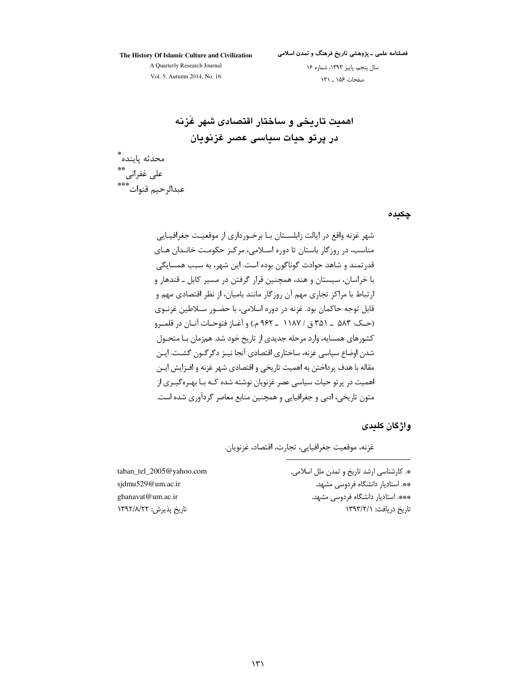The History Of Islamic Culture and Civilization

فصلنامه علمی ـ پژوهشی تاریخ فرهنگ و تمدن اسلامی

A Quarterly Research Journal Vol. 5, Autumn 2014, No. 16

سال پنجم، پاییز ١٣٩٣، شماره ١۶ صفحات ۱۵۶ \_ ۱۳۱

اهميت تاريخي و ساختار اقتصادي شهر غزنه در پرتو حیات سیاسی عصر غزنویان

محدثه ياينده ٌ على غفرانى ٌ \*\*<br>عبدالرحيم قنوات ٌ \*\*\*

چکیدہ

شهر غزنه واقع در ايالت زابلسـتان بـا برخـورداري از موقعيـت جغرافيـايي مناسب، در روزگار باستان تا دوره اسلامی، مرکز حکومت خانـدان هـای قدر تمند و شاهد حوادث گوناگون بوده است. این شهر، به سبب همسایگی با خراسان، سیستان و هند، همچنین قرار گرفتن در مسیر کابل ـ قندهار و ارتباط با مراکز تجاری مهم آن روزگار مانند بامیان، از نظر اقتصادی مهم و قابل توجه حاکمان بود. غزنه در دوره اسلامی، با حضـور ســلاطين غزنــوی (حـک: ۵۸۳ \_ ۳۵۱ ق / ۱۱۸۷ \_ ۹۶۲ م.) و آغــاز فتوحــات آنــان در قلمــرو کشورهای همسایه، وارد مرحله جدیدی از تاریخ خود شد. همزمان بـا متحـول شدن اوضاع سیاسی غزنه، ساختاری اقتصادی آنجا نیـز دگرگــون گشــت. ایـن مقاله با هدف پرداختن به اهمیت تاریخی و اقتصادی شهر غزنه و افـزایش ایـن اهمیت در پرتو حیات سیاسی عصر غزنویان نوشته شده کـه بـا بهـرهگیـری از متون تاریخی، ادبی و جغرافیایی و همچنین منابع معاصر گردآوری شده است.

و اژ گان کلیدی

غزنه، موقعیت جغرافیایی، تجارت، اقتصاد، غزنویان.

\*. كارشناسي ارشد تاريخ و تمدن ملل اسلامي. \*\*. استادیار دانشگاه فردوسی مشهد. \*\*\*. استاديار دانشگاه فردوسي مشهد. تاریخ دریافت: ١٣٩٣/٢/١

taban\_tel\_2005@yahoo.com sjdmu529@um.ac.ir ghanavat@um.ac.ir تاريخ يذيرش: ١٣٩٢/٨/٢٢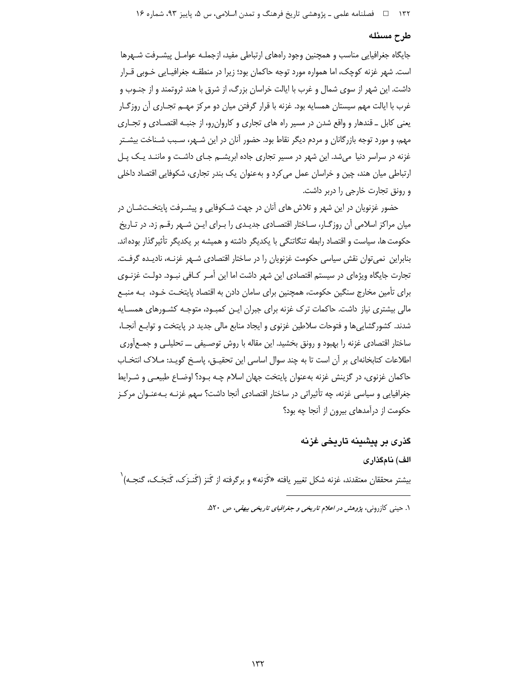۱۳۲ = 1 فصلنامه علمی ـ پژوهشی تاریخ فرهنگ و تمدن اسلامی، س ۵، پاییز ۹۳، شماره ۱۶

#### طرح مسئله

جایگاه جغرافیایی مناسب و همچنین وجود راههای ارتباطی مفید، ازجملـه عوامـل پیشـرفت شـهرها است. شهر غزنه کوچک، اما همواره مورد توجه حاکمان بود؛ زیرا در منطقـه جغرافیـایی خـوبی قـرار داشت. این شهر از سوی شمال و غرب با ایالت خراسان بزرگ، از شرق با هند ثروتمند و از جنــوب و غرب با ايالت مهم سيستان همسايه بود. غزنه با قرار گرفتن ميان دو مركز مهـم تجـاري آن روزگـار یعنی کابل \_ قندهار و واقع شدن در مسیر راه های تجاری و کاروان رو، از جنبـه اقتصـادی و تجـاری مهم، و مورد توجه بازرگانان و مردم دیگر نقاط بود. حضور آنان در این شـهر، سـبب شـناخت بیشـتر غزنه در سراسر دنیا میشد. این شهر در مسیر تجاری جاده ابریشــم جـای داشـت و ماننــد یــک پــل ارتباطی میان هند، چین و خراسان عمل می کرد و بهعنوان یک بندر تجاری، شکوفایی اقتصاد داخلی و رونق تجارت خارجی را دربر داشت.

حضور غزنویان در این شهر و تلاش های آنان در جهت شــکوفایی و پیشــرفت پایتخــتشــان در میان مراکز اسلامی آن روزگـار، سـاختار اقتصـادی جدیـدی را بـرای ایـن شـهر رقــم زد. در تـاریخ حکومت ها، سیاست و اقتصاد رابطه تنگاتنگی با یکدیگر داشته و همیشه بر یکدیگر تأثیرگذار بودهاند. بنابراین نمی توان نقش سیاسی حکومت غزنویان را در ساختار اقتصادی شـهر غزنـه، نادیـده گرفـت. تجارت جایگاه ویژهای در سیستم اقتصادی این شهر داشت اما این أمـر کـافی نبـود. دولـت غزنـوی برای تأمین مخارج سنگین حکومت، همچنین برای سامان دادن به اقتصاد پایتخـت خـود، بـه منبـع مالی بیشتری نیاز داشت. حاکمات ترک غزنه برای جبران ایـن کمبـود، متوجـه کشـورهای همسـایه شدند. کشورگشایی ها و فتوحات سلاطین غزنوی و ایجاد منابع مالی جدید در پایتخت و توابـع اَنجـا، ساختار اقتصادی غزنه را بهبود و رونق بخشید. این مقاله با روش توصیفی ـــ تحلیلــی و جمــع[وری اطلاعات كتابخانهاي بر أن است تا به چند سوال اساسي اين تحقيــق، پاسـخ گويـد: مـلاک انتخـاب حاکمان غزنوی، در گزینش غزنه بهعنوان پایتخت جهان اسلام چـه بـود؟ اوضـاع طبیعـی و شـرایط جغرافیایی و سیاسی غزنه، چه تأثیراتی در ساختار اقتصادی آنجا داشت؟ سهم غزنـه بـهعنـوان مرکـز حکومت از درآمدهای بیرون از آنجا چه بود؟

گذری بر پیشینه تاریخی غزنه الف) نامگذاری بیشتر محققان معتقدند، غزنه شکل تغییر یافته «گَزنه» و برگرفته از گَنز (گَنـزک، گَنجَـک، گنجـه)`

۱. حینی کازرونی، *پژوهش در اعلام تاریخی و جغرافیای تاریخی بیهقی*، ص ۵۲۰.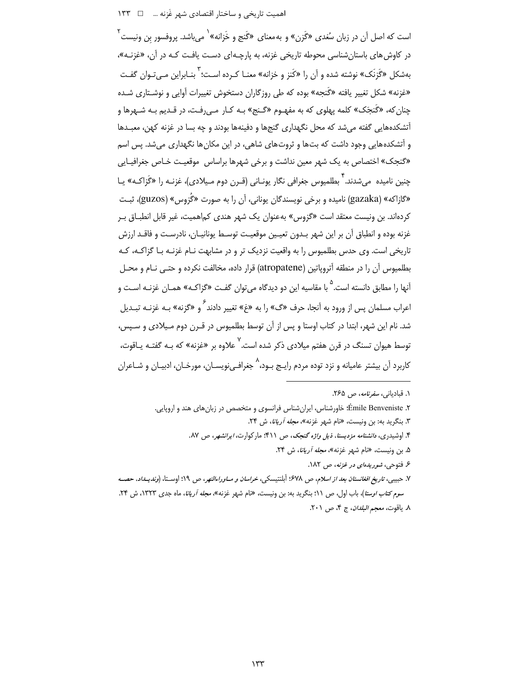اهمیت تاریخی و ساختار اقتصادی شهر غَزنه ... □ ١٣٣

است که اصل آن در زبان سُغدی «گَزن» و به معنای «گَنج و خَزانه» <sup>(</sup> می باشد. پروفسور بن ونیست <sup>۲</sup> در کاوش های باستان شناسی محوطه تاریخی غزنه، به پارچـهای دسـت یافـت کـه در آن، «غزنـه»، بهشکل «گَزِنَک» نوشته شده و آن را «کَنز و خزانه» معنـا کـرده اسـت؛ <sup>۳</sup> بنـابراین مـی *ت*ـوان گفـت «غزنه» شکل تغییر یافته «گَنجه» بوده که طی روزگاران دستخوش تغییرات آوایی و نوشـتاری شـده چنان که، «گَنجَک» کلمه پهلوی که به مفهـوم «گـنج» بـه کـار مـی(فـت، در قـدیم بـه شـهرها و آتشکدههایی گفته می شد که محل نگهداری گنجها و دفینهها بودند و چه بسا در غزنه کهن، معبـدها و آتشکدههایی وجود داشت که بتها و ثروتهای شاهی، در این مکانها نگهداری میشد. پس اسم «گنجک» اختصاص به یک شهر معین نداشت و برخی شهرها براساس موقعیت خـاص جغرافیـایی چنین نامیده می شدند. <sup>۲</sup> بطلمیوس جغرافی نگار یونـانی (قـرن دوم مـیلادی)، غزنـه را «گَزاکـه» پـا «گازاکه» (gazaka) نامیده و برخی نویسندگان یونانی، آن را به صورت «گُزوس» (guzos)، ثبت کردهاند. بن ونیست معتقد است «گزوس» بهعنوان یک شهر هندی کماهمیت، غیر قابل انطبــاق بــر غزنه بوده و انطباق آن بر اين شهر بـدون تعيـين موقعيـت توسـط يونانيـان، نادرسـت و فاقـد ارزش تاریخی است. وی حدس بطلمپوس را به واقعیت نزدیک تر و در مشابهت نـام غزنـه بـا گزاکـه، کـه بطلمیوس آن را در منطقه آتروپاتین (atropatene) قرار داده، مخالفت نکرده و حتـی نـام و محـل آنها را مطابق دانسته است.<sup>۵</sup> با مقاسیه این دو دیدگاه میتوان گفت «گزاکـه» همـان غزنـه اسـت و اعراب مسلمان پس از ورود به آنجا، حرف «گ» را به «غ» تغییر دادند <sup>۶</sup>و «گزنه» بـه غزنـه تبـدیل شد. نام این شهر، ابتدا در کتاب اوستا و پس از آن توسط بطلمیوس در قـرن دوم مـیلادی و سـپس، توسط هیوان تسنگ در قرن هفتم میلادی ذکر شده است.<sup>۷</sup> علاوه بر «غزنه» که بـه گفتـه یـاقوت، کاربرد آن بیشتر عامیانه و نزد توده مردم رایـج بـود،<sup>۸</sup> جغرافـیiویسـان، مورخـان، ادبیـان و شـاعران

۰۱ قبادیان*ی، سفرنامه، ص ۲۶۵*.

۲. Émile Benveniste؛ خاورشناس، ایران شناس فرانسوی و متخصص در زبان های هند و اروپایی.

۳. بنگرید به: بن ونیست، «نام شهر غزنه»، *مجله آریانا*، ش ۲۴.

۴. اوشیدری، *دانشنامه مزدیسنا، ذیل واژه گنجک، ص ۴*۱۱؛ مارکوارت، *ایرانشهر، ص ۸*۷.

۵. بن ونیست، «نام شهر غزنه»، *مجله آریانا*، ش ۲۴.

۶. فتوحی، *شوریدهای در غزنه*، ص ۱۸۲.

۷. حبيبي، تاري*خ افغانستان بعد از اسلام*، ص ۶۷۸؛ أبلنتيسكي، *خراسان و سـاوراءالنهر*، ص ۱۹؛ اوسـتا، (*ونديـداد*، حصـه س*وم کتاب اوستا*)، باب اول، ص ١١؛ بنگرید به: بن ونیست، «نام شهر غزنه»، *مجله آریانا*، ماه جدی ١٣٢٣، ش ٢۴. ٨. ياقوت، معجم *البلدان*، ج ۴، ص ٢٠١.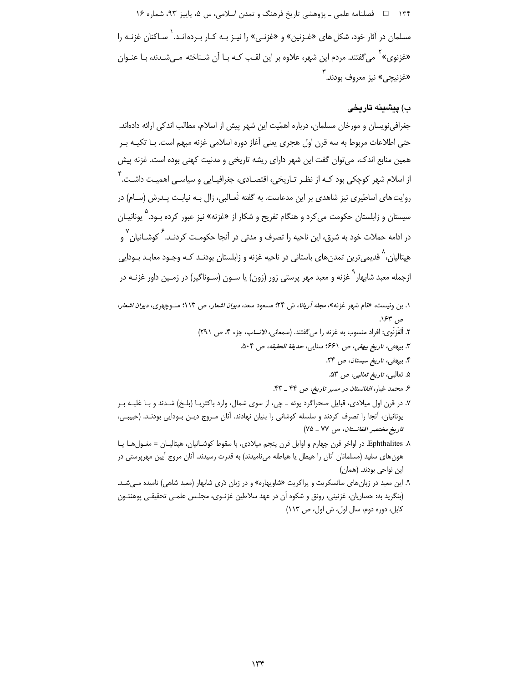۱۳۴ هـ فصلنامه علمي ـ پژوهشي تاريخ فرهنگ و تمدن اسلامي، س ۵، پاييز ۹۳، شماره ۱۶ مسلمان در آثار خود، شکل های «غـزنین» و «غزنـی» را نیـز بـه کـار بـرده انـد. <sup>(</sup> سـاکنان غزنـه را «غزنوی» ` می گفتند. مردم این شهر، علاوه بر این لقب کـه بـا آن شـناخته مـی«سدند، بـا عنـوان «غزنيچي» نيز معروف بودند. <sup>۳</sup>

# ب) پیشینه تاریخی

جغرافی نویسان و مورخان مسلمان، درباره اهمّیت این شهر پیش از اسلام، مطالب اندکی ارائه دادهاند. حتی اطلاعات مربوط به سه قرن اول هجری یعنی آغاز دوره اسلامی غزنه مبهم است. بـا تکیـه بـر همین منابع اندک، میتوان گفت این شهر دارای ریشه تاریخی و مدنیت کهنی بوده است. غزنه پیش از اسلام شهر کوچکی بود کـه از نظـر تـاریخی، اقتصـادی، جغرافیـایی و سیاسـی اهمیـت داشـت. <sup>'</sup> روایت های اساطیری نیز شاهدی بر این مدعاست. به گفته ثَعـالبی، زال بـه نیابـت پـدرش (سـام) در سیستان و زابلستان حکومت می¢رد و هنگام تفریح و شکار از «غزنه» نیز عبور کرده بـود.<sup>۵</sup> یونانیــان در ادامه حملات خود به شرق، این ناحیه را تصرف و مدتی در آنجا حکومت کردنـد. <sup>گ</sup>ـ کوشــانیان <sup>۷</sup> هِپتالیان،<sup>۸</sup> قدیمیترین تمدنهای باستانی در ناحیه غزنه و زابلستان بودنـد کـه وجـود معابـد بـودایی ازجمله معبد شابهار<sup>٬ </sup>غزنه و معبد مهر پرستی زور (زون) یا ســون (سـوناگیر) در زمــین داور غزنــه در

- ۱. بن ونیست، «نام شهر غزنه»، *مجله آریانا*، ش ۲۴: مسعود سعد، *دیوان اشعار، ص ۱۱*۳: منوچهری، *دیوان اشعار*، ص ۶۳.
	- ٢. اَلْغَزِنَوِي: افراد منسوب به غزنه را مي گفتند. (سمعاني، *الانساب*، جزء ۴، ص ٢٩١)
		- ٣. بيهقي، *تاريخ بيهقي، ص ٤۶*١؛ سنايي، *حديقة الحقيقه*، ص ٥٠۴.
			- ۴. بیهقی، تاریخ سیستان، ص ۲۴.
			- ۵. ثعالبي، *تاريخ ثعالبي، ص* ۵۳.
			- ۶ محمد غبار، *افغانستان در مسیر تاریخ، ص* ۴۴ \_ ۴۳.
- ۷. در قرن اول میلادی، قبایل صحراگرد یوئه ــ چی، از سوی شمال، وارد باکتریـا (بلـخ) شـدند و بـا غلبـه بـر یونانیان، آنجا را تصرف کردند و سلسله کوشانی را بنیان نهادند. آنان مـروج دیـن بـودایی بودنـد. (حبیبـی، تاريخ مختصر افغانستان، ص ٧٧ \_ ٧٥)
- k Ephthalites. در اواخر قرن چهارم و اوایل قرن پنجم میلادی، با سقوط کوشـانیان، هپتالیـان = مغـول هـا یـا هونهای سفید (مسلمانان آنان را هیطل یا هیاطله میiامیدند) به قدرت رسیدند. آنان مروج آیین مهرپرستی در این نواحی بودند. (همان)
- ۹. این معبد در زبانهای سانسکریت و پراکریت «شاویهاره» و در زبان دَری شابهار (معبد شاهی) نامیده مـی شـد. (بنگرید به: حصاریان، غزنینی، رونق و شکوه آن در عهد سلاطین غزنـوی، مجلـس علمـی تحقیقـی پوهنتـون کابل، دوره دوم، سال اول، ش اول، ص ١١٣)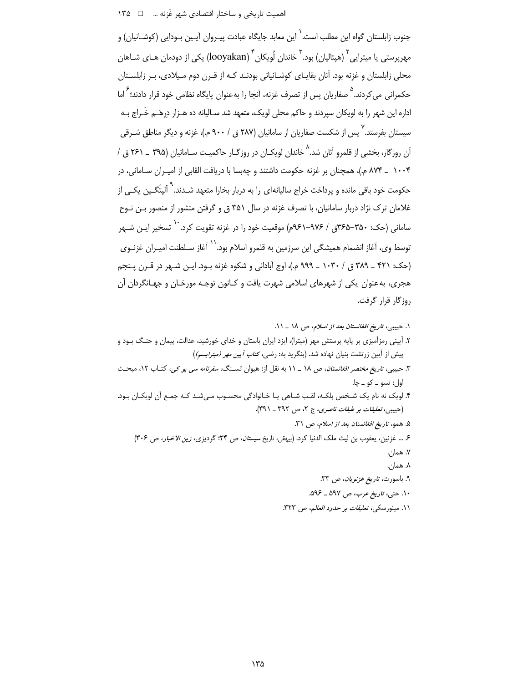اهمیت تاریخی و ساختار اقتصادی شهر غَزنه ... \_ □ ١٣۵

جنوب زابلستان گواه این مطلب است. ٰ این معابد جایگاه عبادت پیـروان آیـین بـودایی (کوشــانیان) و مهریرستی یا میترایی<sup>۲</sup> (هیتالیان) بود.<sup>۳</sup> خاندان لُویکان <sup>۴</sup> (looyakan) یکی از دودمان هـای شــاهان محلی زابلستان و غزنه بود. آنان بقایـای کوشـانیانی بودنـد کـه از قـرن دوم مـیلادی، بـر زابلسـتان حکمرانی می *ک*ردند.<sup>۵</sup> صفاریان پس از تصرف غزنه، آنجا را بهعنوان پایگاه نظامی خود قرار دادند؛ <sup>۲</sup> اما اداره این شهر را به لویکان سپردند و حاکم محلی لویک، متعهد شد سـالیانه ده هــزار دِرهَــم خَــراج بــه سیستان بفرستد.<sup>۷</sup> پس از شکست صفاریان از سامانیان (۲۸۷ ق / ۹۰۰ م.)، غزنه و دیگر مناطق شـرقی آن روزگار، بخشی از قلمرو آنان شد.<sup>۸</sup> خاندان لویکـان در روزگـار حاکمیـت سـامانیان (۳۹۵ <sub>–</sub> ۲۶۱ ق / ۱۰۰۴ \_ ۸۷۴ م.)، همچنان بر غزنه حکومت داشتند و چهبسا با دریافت القابی از امیـران سـامانی، در حکومت خود باقی مانده و پرداخت خراج سالیانهای را به دربار بخارا متعهد شـدند.<sup>۹</sup> آلپتَگـین یکـ<sub>م،</sub> از غلامان ترک نژاد دربار سامانیان، با تصرف غزنه در سال ۳۵۱ ق و گرفتن منشور از منصور بـن نـوح سامانی (حک: ۳۵۰–۳۶۵ق / ۹۷۶–۹۶۱م) موقعیت خود را در غزنه تقویت کرد. `` تسخیر ایـن شـهر توسط وی، آغاز انضمام همیشگی این سرزمین به قلمرو اسلام بود.<sup>۱۱</sup> آغاز سـلطنت امیــران غزنــوی (حک: ۴۲۱ \_ ۳۸۹ ق / ۱۰۳۰ \_ ۹۹۹ م.)، اوج آبادانی و شکوه غزنه بـود. ایـن شـهر در قـرن پـنجم هجري، به عنوان يکي از شهرهاي اسلامي شهرت يافت و کـانون توجـه مورخـان و جهـانگردان آن روزگار قرار گرفت.

- ۳. حبیبی، *تاریخ مختصر افغانستان*، ص ۱۸ \_ ۱۱ به نقل از: هیوان تسـنگ، *سفرنامه سی یو کی*، کتـاب ۱۲، مبحـث اول: تسو \_ کو \_ ڇا.
- ۴. لویک نه نام یک شـخص بلکـه، لقـب شـاهی یـا خـانوادگی محسـوب مـیشـد کـه جمـع آن لویکـان بـود. (حبيبي، تعليقات بر طبقات ناصري، ج ٢، ص ٣٩٢ ـ ٣٩١).
	- ۵. همو، تاريخ افغانستان بعد از اسلام، ص ٣١.
	- ۶. ... غزنين، يعقوب بن ليث ملك الدنيا كرد. (بيهقي، تاريخ سيس*تان*، ص ٢۴؛ گرديزي، *زين الاخبار، ص ٣٠۶*)
		- ٧. همان.
		- ۸. همان.
		- ٩. باسورث، ت*اريخ غزنويان*، ص ٣٣.
		- ١٠. حتى، تاريخ عرب، ص ٥٩٧ \_ ٥٩٤.
		- ١١. مينورسكي، تع*ليقات بر حدود العالم*، ص ٣٢٣.

١. حبيبي، تاريخ افغانستان بعد از اسلام، ص ١٨ \_ ١١.

۲. آیینی رمزآمیزی بر پایه پرستش مهر (میترا)، ایزد ایران باستان و خدای خورشید، عدالت، پیمان و جنگ بـود و پیش از آیین زرتشت بنیان نهاده شد. (بنگرید به: رضی، *کتاب آیین مهر (میترایسم)*)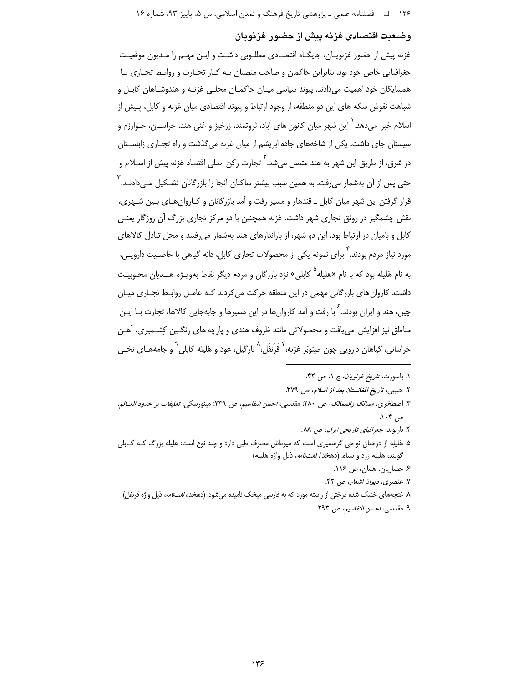# وضعيت اقتصادى غزنه پيش از حضور غزنويان

غزنه پیش از حضور غزنویـان، جایگـاه اقتصـادی مطلـوبی داشـت و ایـن مهـم را مـدیون موقعیـت جغرافیایی خاص خود بود. بنابراین حاکمان و صاحب منصبان بـه کـار تجـارت و روابـط تجـاری بـا همسایگان خود اهمیت میدادند. پیوند سیاسی میـان حاکمـان محلـی غزنـه و هندوشـاهان کابـل و شباهت نقوش سکه های این دو منطقه، از وجود ارتباط و پیوند اقتصادی میان غزنه و کابل، پـیش از اسلام خبر میدهد. ٰ این شهر میان کانون های آباد، ثروتمند، زرخیز و غنی هند، خراسـان، خـوارزم و سیستان جای داشت. یکی از شاخههای جاده ابریشم از میان غزنه می گذشت و راه تجـاری زابلسـتان در شرق، از طریق این شهر به هند متصل میشد.<sup>۲</sup> تجارت رکن اصلی اقتصاد غزنه پیش از اسـلام و حتی پس از آن بهشمار می٫فت. به همین سبب بیشتر ساکنان آنجا ٫۱ باز٫گانان تشـکیل مـی٫دادنـد. <sup>\</sup> قرار گرفتن این شهر میان کابل ـ قندهار و مسیر رفت و آمد بازرگانان و کـاروان هـای بـین شـهری، نقش چشمگیر در رونق تجاری شهر داشت. غزنه همچنین با دو مرکز تجاری بزرگ آن روزگار یعنبی کابل و بامیان در ارتباط بود. این دو شهر، از باراندازهای هند بهشمار می رفتند و محل تبادل کالاهای مورد نیاز مردم بودند. <sup>۲</sup> برای نمونه یکی از محصولات تجاری کابل، دانه گیاهی با خاصـیت دارویـی، به نام هَلیله بود که با نام «هلیله<sup>۵</sup> کابلی» نزد بازرگان و مردم دیگر نقاط بهویـژه هنـدیان محبوبیـت داشت. کاروان های بازرگانی مهمی در این منطقه حرکت می کردند کـه عامـل روابـط تجـاری میـان چین، هند و ایران بودند.<sup>۶</sup> با رفت و آمد کاروانها در این مسیرها و جابهجایی کالاها، تجارت بـا ایـن .<br>مناطق نیز افزایش می یافت و محصولاتی مانند ظروف هندی و پارچه های رنگـین کِشــمیری، آهـن خراسانی، گیاهان دارویی چون صِنوبَر غزنه،<sup>۷</sup> قَرَنفَل،<sup>۸</sup> نارگیل، عود و هَلیله کابلی<sup>۹</sup> و جامههــای نخــی

- ٣. اصطخرى، مس*الك والممالك*، ص ٢٨٠؛ مقدسى، *احسن التقاسيم*، ص ٢٣٩؛ مينورسكي، *تعليقات بر حدود العــالم*، ص ۱۰۴.
	- ۴. بارتولد، *جغرافیای تاریخی ایران*، ص ۸۸.
- ۵. هَلیلِه از درختان نواحی گرمسیری است که میوهاش مصرف طبی دارد و چند نوع است: هلیله بزرگ کـه کـابلی گويند، هليله زرد و سياه. (دهخدا، *لغتنامه*، ذيل واژه هليله)
	- ۶. حصاریان، همان، ص ۱۱۶.
	- ٧. عنصري، ديوان اشعار، ص ۴۲.
- ۸ غنچههای خشک شده درختی از راسته مورد که به فارسی میخک نامیده میشود. (دهخدا، *لغتنامه*، ذیل واژه قرنفل) ٩. مقدسی، احسن التقاسیم، ص ٢٩٣.

۱. باسورث، *تاریخ غزنویان*، ج ۱، ص ۴۲.

۲. حبيبي، ت*اريخ افغانستان بعد از اسلام، ص* ۴۷۹.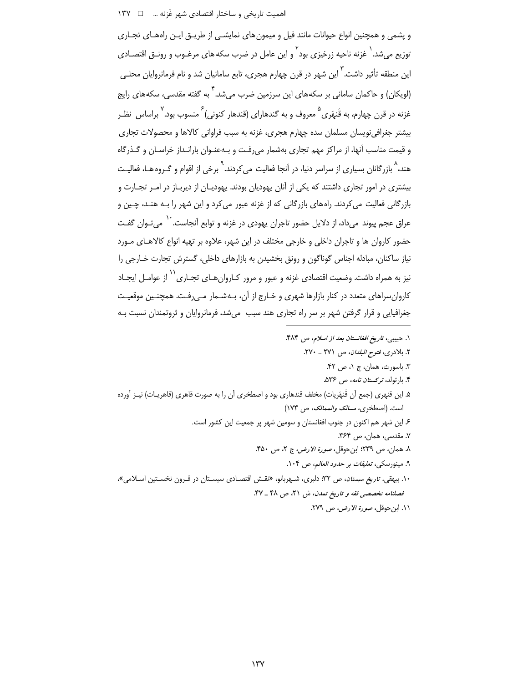اهمیت تاریخی و ساختار اقتصادی شهر غَزنه ... □ ١٣٧

و پشمی و همچنین انواع حیوانات مانند فیل و میمون های نمایشـی از طریــق ایــن راههـای تجـاری توزیع می شد. <sup>(</sup> غزنه ناحیه زرخیزی بود <sup>۲</sup> و این عامل در ضرب سکه های مرغـوب و رونــق اقتصـادی این منطقه تأثیر داشت. <sup>۳</sup> این شهر در قرن چهارم هجری، تابع سامانیان شد و نام فرمانروایان محلـی (لویکان) و حاکمان سامانی بر سکههای این سرزمین ضرب میشد. <sup>۴</sup> به گفته مقدسی، سکههای رایج غزنه در قرن چهارم، به قَنهَري <sup>۵</sup> معروف و به گندهاراي (قندهار کنوني) <sup>۶</sup> منسوب بود. <sup>۷</sup> براساس نظـر بیشتر جغرافینویسان مسلمان سده چهارم هجری، غزنه به سبب فراوانی کالاها و محصولات تجاری و قیمت مناسب آنها، از مراکز مهم تجاری بهشمار می رفت و بـهعنـوان بارانـداز خراسـان و گـذرگاه هند، ^ بازرگانان بسیاری از سراسر دنیا، در آنجا فعالیت می کردند. <sup>۹</sup> برخی از اقوام و گـروه هـا، فعالیـت بیشتری در امور تجاری داشتند که یکی از آنان یهودیان بودند. یهودیـان از دیربـاز در امـر تجـارت و بازرگانی فعالیت میکردند. راههای بازرگانی که از غزنه عبور میکرد و این شهر را بـه هنـد، چـین و عراق عجم پیوند می داد، از دلایل حضور تاجران پهودی در غزنه و توابع آنجاست. `` می *ت*ـوان گفـت حضور کاروان ها و تاجران داخلی و خارجی مختلف در این شهر، علاوه بر تهیه انواع کالاهـای مـورد نیاز ساکنان، مبادله اجناس گوناگون و رونق بخشیدن به بازارهای داخلی، گسترش تجارت خـارجی را نیز به همراه داشت. وضعیت اقتصادی غزنه و عبور و مرور کـاروانِ هـای تجـاری<sup>\۱</sup> از عوامـل ایجـاد کاروان سراهای متعدد در کنار بازارها شهری و خـارج از آن، بـهشـمار مـی٫رفـت. همچنـین موقعیـت جغرافیایی و قرار گرفتن شهر بر سر راه تجاری هند سبب میشد، فرمانروایان و ثروتمندان نسبت بـه

- ١. حبيبي، تاريخ افغانستان بعد از اسلام، ص ۴۸۴.
	- ٢. بلاذري، فتوح *البلدان*، ص ٢٧١ \_ ٢٧٠.
		- ٣. باسورث، همان، ج ١، ص ۴۲.
		- ۴. بارتولد، *تركستان نامه*، ص ۵۳۶.
- ۵. این قنهری (جمع آن قَنهَریات) مخفف قندهاری بود و اصطخری آن را به صورت قاهری (قاهریـات) نیـز آورده است. (اصطخرى، مس*الك والممالك*، ص ١٧٣)
	- ۶ـ این شهر هم اکنون در جنوب افغانستان و سومین شهر پر جمعیت این کشور است.
		- ٧. مقدسی، همان، ص ٣۶۴.
		- ٨. همان، ص ٢٣٩؛ ابن حوقل، صورة الارض، ج ٢، ص ۴۵٠.
			- ۹. مینورسکی، *تعلیقات بر حدود العالم، ص* ۱۰۴.
- ۱۰. بیهقی، ت*اریخ سیستان، ص* ۳۲؛ دلبری، شـهربانو، «نقـش اقتصـادی سیسـتان در قـرون نخسـتین اسـلامی»، فصلنامه تخصصی فقه و تاریخ تمدن، ش ۲۱، ص ۴۸ \_ ۴۷.
	- ١١. ابن حوقل، صورة الارض، ص ٢٧٩.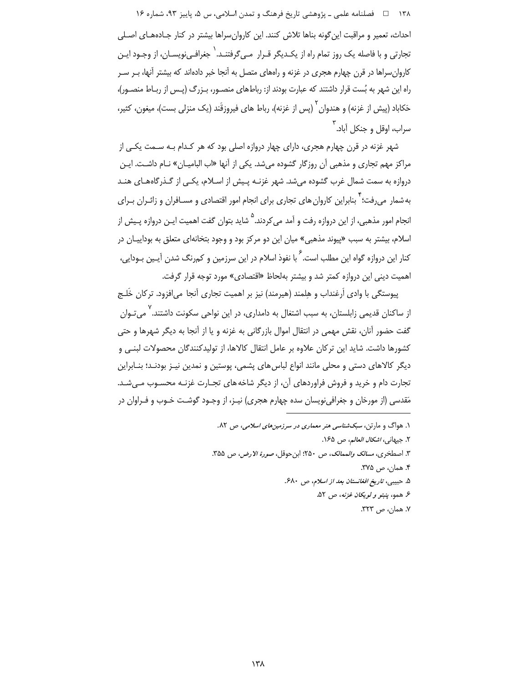۱۳۸ = فصلنامه علمی ـ پژوهشی تاریخ فرهنگ و تمدن اسلامی، س ۵، پاییز ۹۳، شماره ۱۶ احداث، تعمیر و مراقبت این گونه بناها تلاش کنند. این کاروان سراها بیشتر در کنار جـادههـای اصـلی تجارتی و با فاصله یک روز تمام راه از یکـدیگر قـرار مـے گرفتنـد. ` جغرافـے نویسـان، از وجـود ایـن کاروان سراها در قرن چهارم هجری در غزنه و راههای متصل به آنجا خبر دادهاند که بیشتر آنها، بـر سـر راه این شهر به بُست قرار داشتند که عبارت بودند از: رباطهای منصـور، بـزرگ (پـس از ربـاط منصـور)، حَكاباد (پیش از غزنه) و هندوان <sup>۲</sup> (پس از غزنه)، رباط های فیروزقَند (یک منزلی بست)، میغون، کثیر، سراب، اوقل و جنکل آباد. <sup>۱</sup>

شهر غزنه در قرن چهارم هجری، دارای چهار دروازه اصلی بود که هر کـدام بـه سـمت یکـی از مراکز مهم تجاری و مذهبی آن روزگار گشوده می شد. یکی از آنها «اب البامیـان» نـام داشـت. ایـن دروازه به سمت شمال غرب گشوده می شد. شهر غزنـه پـیش از اسـلام، یکـی از گـذرگاههـای هنـد به شمار می رفت؛ <sup>۲</sup> بنابراین کاروان های تجاری برای انجام امور اقتصادی و مسـافران و زائـران بـرای انجام امور مذهبی، از این دروازه رفت و آمد می کردند. <sup>۵</sup> شاید بتوان گفت اهمیت ایـن دروازه پـیش از اسلام، بیشتر به سبب «ییوند مذهبی» میان این دو مرکز بود و وجود بتخانهای متعلق به بوداییـان در کنار این دروازه گواه این مطلب است.<sup>۶</sup> با نفوذ اسلام در این سرزمین و کم<sub>ا</sub>رنگ شدن آیـین بـودایی، اهمیت دینی این دروازه کمتر شد و بیشتر بهلحاظ «اقتصادی» مورد توجه قرار گرفت.

پیوستگی با وادی اَرغنداب و هِلمند (هیرمند) نیز بر اهمیت تجاری آنجا می|فزود. ترکان خَلـج از ساکنان قدیمی زابلستان، به سبب اشتغال به دامداری، در این نواحی سکونت داشتند.<sup>۷</sup> می *ت*ـوان گفت حضور آنان، نقش مهمی در انتقال اموال بازرگانی به غزنه و یا از آنجا به دیگر شهرها و حتی كشورها داشت. شايد اين تركان علاوه بر عامل انتقال كالاها، از توليدكنندگان محصولات لبنـى و دیگر کالاهای دستی و محلی مانند انواع لباس های پشمی، پوستین و نمدین نیـز بودنـد؛ بنـابراین تجارت دام و خرید و فروش فراوردهای آن، از دیگر شاخه های تجـارت غزنـه محسـوب مـی شـد. مَقدسی (از مورخان و جغرافینویسان سده چهارم هجری) نیـز، از وجـود گوشـت خـوب و فـراوان در

- ۱. هواگ و مارتن، *سبکشناسی هنر معماری در سرزمین های اسلامی، ص* ۸۲.
	- ٢. جيهاني، *اشكال العالم*، ص ١۶۵.
- ٣. اصطخرى، مسالك والممالك، ص ٢٥٠: ابن حوقل، صورة الارض، ص ٣٥٥.
	- ۴. همان، ص ۳۷۵.
	- ۵. حبيبي، تاريخ افغانستان بعد از اسلام، ص ۶۸۰.
		- ع همو، ينب*تو و لويكان غزنه*، ص ۵۲.
			- ٧. همان، ص ٣٢٣.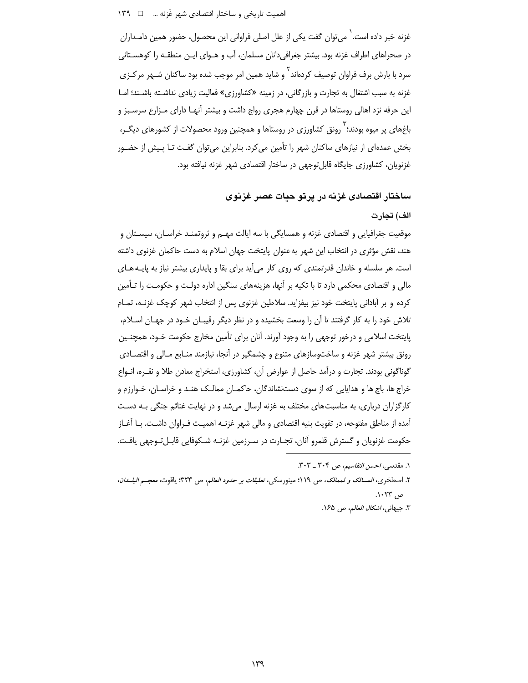اهمیت تاریخی و ساختار اقتصادی شهر غَزنه ... \_ 1٣٩

غزنه خبر داده است. ٰ می توان گفت یکی از علل اصلی فراوانی این محصول، حضور همین دامـداران در صحراهای اطراف غزنه بود. بیشتر جغرافی دانان مسلمان، آب و هـوای ایـن منطقـه را کوهسـتانی سرد با بارش برف فراوان توصیف کردهاند <sup>1</sup> و شاید همین امر موجب شده بود ساکنان شـهر مرکـزی غزنه به سبب اشتغال به تجارت و بازرگانی، در زمینه «کشاورزی» فعالیت زیادی نداشـته باشـند؛ امـا این حرفه نزد اهالی روستاها در قرن چهارم هجری رواج داشت و بیشتر آنهـا دارای مـزارع سرسـبز و باغهای پر میوه بودند؛ ` رونق کشاورزی در روستاها و همچنین ورود محصولات از کشورهای دیگـر، بخش عمدهای از نیازهای ساکنان شهر را تأمین می کرد. بنابراین می توان گفت تـا پـیش از حضـور غزنویان، کشاورزی جایگاه قابل توجهی در ساختار اقتصادی شهر غزنه نیافته بود.

ساختار اقتصادی غزنه در پرتو حیات عصر غزنوی

### الف) تجارت

موقعیت جغرافیایی و اقتصادی غزنه و همسایگی با سه ایالت مهــم و ثروتمنــد خراســان، سیســتان و هند، نقش مؤثري در انتخاب اين شهر به عنوان پايتخت جهان اسلام به دست حاكمان غزنوي داشته است. هر سلسله و خاندان قدرتمندی که روی کار می آید برای بقا و پایداری بیشتر نیاز به پایـه هـای مالی و اقتصادی محکمی دارد تا با تکیه بر آنها، هزینههای سنگین اداره دولت و حکومت را تـأمین کرده و بر آبادانی پایتخت خود نیز بیفزاید. سلاطین غزنوی پس از انتخاب شهر کوچک غزنـه، تمـام تلاش خود را به کار گرفتند تا آن را وسعت بخشیده و در نظر دیگر رقیبـان خـود در جهـان اسـلام، پایتخت اسلامی و درخور توجهی را به وجود آورند. آنان برای تأمین مخارج حکومت خـود، همچنـین رونق بیشتر شهر غزنه و ساختوسازهای متنوع و چشمگیر در آنجا، نیازمند منـابع مـالی و اقتصـادی گوناگونی بودند. تجارت و درآمد حاصل از عوارض آن، کشاورزی، استخراج معادن طلا و نقـره، انـواع خراج ها، باج ها و هدایایی که از سوی دستنشاندگان، حاکمـان ممالـک هنـد و خراسـان، خـوارزم و کارگزاران درباری، به مناسبت های مختلف به غزنه ارسال میشد و در نهایت غنائم جنگی بـه دسـت آمده از مناطق مفتوحه، در تقویت بنیه اقتصادی و مالی شهر غزنـه اهمیـت فـراوان داشـت. بـا آغـاز حكومت غزنويان و گسترش قلمرو آنان، تجـارت در سـرزمين غزنـه شـكوفايي قابـلتـوجهي يافـت.

١. مقدسی، احسن التقاسیم، ص ٣٠٣ ـ ٣٠٣.

٢. اصطخرى، المسالك و لممالك، ص ١١٩؛ مينورسكي، تعليقات بر حدود العالم، ص ٣٢٣؛ ياقوت، معجـم البلـــدان، ص ۲۳۰۲۳. ٣. جيهاني، *اشكال العالم*، ص ١۶۵.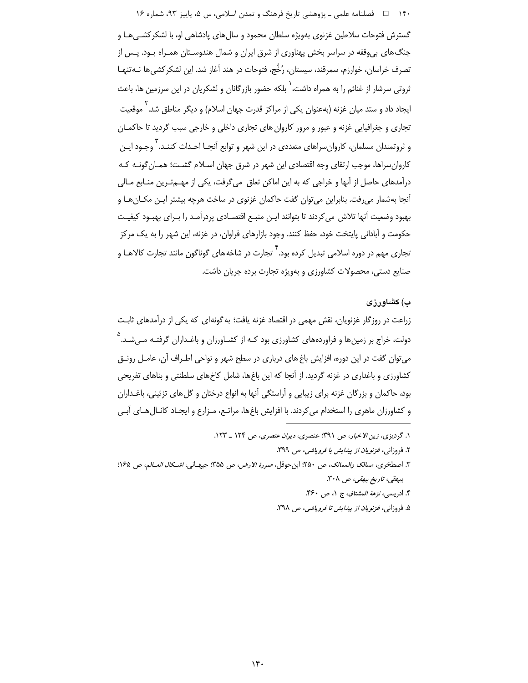۱۴۰٪ □ فصلنامه علمي ــ پژوهشي تاريخ فرهنگ و تمدن اسلامي، س ۵، پاييز ۹۳، شماره ۱۶

گسترش فتوحات سلاطین غزنوی بهویژه سلطان محمود و سال های یادشاهی او، با لشکر کشبی هـا و جنگ های بی وقفه در سراسر بخش پهناوری از شرق ایران و شمال هندوسـتان همـراه بـود. پـس از تصرف خراسان، خوارزم، سمرقند، سیستان، رُخَّج، فتوحات در هند آغاز شد. این لشکر کشی ها نـهتنهـا ثروتی سرشار از غنائم را به همراه داشت،<sup>۱</sup> بلکه حضور بازرگانان و لشکریان در این سرزمین ها، باعث ایجاد داد و ستد میان غزنه (بهعنوان یکی از مراکز قدرت جهان اسلام) و دیگر مناطق شد. ٰ موقعیت تجاري و جغرافيايي غزنه و عبور و مرور كاروان هاي تجاري داخلي و خارجي سبب گرديد تا حاكمـان و ثروتمندان مسلمان، کاروانِسراهای متعددی در این شهر و توابع آنجـا احـداث کننـد. <sup>۲</sup>وجـود ایـن كاروان سراها، موجب ارتقاى وجه اقتصادى اين شهر در شرق جهان اسـلام گشـت؛ همـان گونـه كـه درآمدهای حاصل از آنها و خراجی که به این اماکن تعلق می گرفت، یکی از مهی ترین منـابع مـالی آنجا بهشمار می رفت. بنابراین می توان گفت حاکمان غزنوی در ساخت هرچه بیشتر ایـن مکـانهـا و بهبود وضعيت آنها تلاش مىكردند تا بتوانند ايـن منبـع اقتصـادى پردرآمـد را بـراى بهبـود كيفيـت حکومت و آبادانی پایتخت خود، حفظ کنند. وجود بازارهای فراوان، در غزنه، این شهر را به یک مرکز ِ<br>تجاری مهم در دوره اسلامی تبدیل کرده بود. <sup>۲</sup> تجارت در شاخه های گوناگون مانند تجارت کالاهــا و صنایع دستی، محصولات کشاورزی و بهویژه تجارت برده جریان داشت.

# ب) کشاورزی

زراعت در روزگار غزنویان، نقش مهمی در اقتصاد غزنه یافت؛ به گونهای که یکی از درآمدهای ثابت دولت، خراج بر زمینها و فراوردههای کشاورزی بود کـه از کشـاورزان و باغـداران گرفتـه مــ ,شـد.<sup>۵</sup> می توان گفت در این دوره، افزایش باغ های درباری در سطح شهر و نواحی اطـراف آن، عامـل رونـق کشاورزی و باغداری در غزنه گردید. از آنجا که این باغها، شامل کاخهای سلطنتی و بناهای تفریحی بود، حاکمان و بزرگان غزنه برای زیبایی و آراستگی آنها به انواع درختان و گل های تزئینی، باغـداران و کشاورزان ماهری را استخدام می کردند. با افزایش باغها، مراتـع، مـزارع و ایجـاد کانـال هـای آبـی

۴. ادريسي، نزهة *المشتاق، ج ۱، ص ۴۶۰*.

۵. فروزانی، *غزنویان از پیدایش تا فروپاشی، ص ۳۹۸*.

١. گردیزی، زین الاخبار، ص ٣٩١؛ عنصری، دیوان عنصری، ص ١٢٤ \_ ١٢٣.

٢. فروزاني، *غزنويان از يبدايش يا فروياشي، ص ٣٩٩*.

٣. اصطخرى، مسالك والممالك، ص ٢٥٠: ابن حوقل، صورة الارض، ص ٣٥٥: جيهاني، *اشكال العــالم، ص ١٤*٥: بیهقی، تاریخ بیهقی، ص ۳۰۸.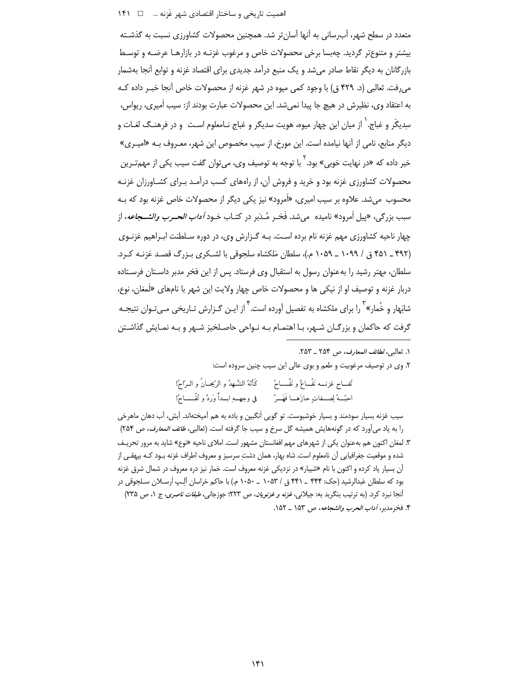## 

متعدد در سطح شهر، آبِرسانی به آنها آسان تر شد. همچنین محصولات کشاورزی نسبت به گذشـته بیشتر و متنوع تر گردید. چهبسا برخی محصولات خاص و مرغوب غزنـه در بازارهـا عرضـه و توسـط بازرگانان به دیگر نقاط صادر میشد و یک منبع درآمد جدیدی برای اقتصاد غزنه و توابع آنجا بهشمار میرفت. ثعالبی (د. ۴۲۹ ق) با وجود کمی میوه در شهر غزنه از محصولات خاص آنجا خبـر داده کـه به اعتقاد وي، نظيرش در هيچ جا پيدا نميشد. اين محصولات عبارت بودند از: سيب أميري، ريواس، سديگَر و غباج. ٰ از ميان اين چهار ميوه، هويت سديگر و غباج نـامعلوم اسـت و در فرهنـگ لغـات و دیگر منابع، نامی از آنها نیامده است. این مورخ، از سیب مخصوص این شهر، معـروف بـه «امیـری» خبر داده که «در نهایت خوبی» بود.<sup>۲</sup> با توجه به توصیف وی، میتوان گفت سیب یکی از مهم *تـر*ین محصولات کشاورزی غزنه بود و خرید و فروش آن، از راههای کسب درآمـد بـرای کشـاورزان غزنـه محسوب میشد. علاوه بر سیب امیری، «اَمرود» نیز یکی دیگر از محصولات خاص غزنه بود که بـه سبب بزرگي، «پيل اَمرود» ناميده مي شد. فَخـر مُـدَبر در كتــاب خــود *آداب الحــرب والشـــجاعه*، از چهار ناحیه کشاورزی مهم غزنه نام برده است. بـه گـزارش وی، در دوره سـلطنت ابـراهیم غزنـوی (۴۹۲ ـ ۴۵۱ ق / ۱۰۹۹ ـ ۱۰۵۹ م.)، سلطان مَلكشاه سلجوقی با لشـكری بـزرگ قصـد غزنـه كـرد. سلطان، مهتر رشید را به عنوان رسول به استقبال وی فرستاد. پس از این فخر مدبر داسـتان فرسـتاده دربار غزنه و توصیف او از نیکی ها و محصولات خاص چهار ولایت این شهر با نامهای «لَمغان، نوع، شابَهار و خُمار» <sup>۳</sup> را برای ملکشاه به تفصیل آورده است. <sup>۴</sup> از ایـن گـزارش تـاریخی مـیٍتـوان نتیجـه گرفت که حاکمان و بزرگـان شـهر، بـا اهتمـام بـه نـواحی حاصـلخیز شـهر و بـه نمـایش گذاشـتن

١. ثعالبي، لطائف المعارف، ص ٢٥٣ \_ ٢٥٣. ۲. وی در توصیف مرغوبیت و طعم و بوی عالی این سیب چنین سروده است: تَّفــاح غزنــــه نَفّـــاعٌ و نَفّـــــاحٌ كَأنّهُ الشَّــهدُ و الرّبيحــانُ و الــرّاحُ! احبِّسهُ لِصِّـفاتٍ حازَهــا قَهَــرُ ۖ في وجهــهِ ابــداً وَردٌ و تُفَّــــاحُ!

سیب غزنه بسیار سودمند و بسیار خوشبوست. تو گویی اُنگبین و باده به هم آمیختهاند. آبش، آب دهان ماهرخی را به ياد مي آورد كه در گونههايش هميشه گل سرخ و سيب جا گرفته است. (ثعالبي، *طائف المعارف، ص* ٢۵۴) ۳. لمغان اکنون هم بهعنوان یکی از شهرهای مهم افغانستان مشهور است. املای ناحیه «نوع» شاید به مرور تحریـف شده و موقعیت جغرافیایی آن نامعلوم است. شاه بهار، همان دشتِ سرسبز و معروف اطراف غزنه بـود کـه بیهقـی از آن بسیار یاد کرده و اکنون با نام «شیبار» در نزدیکی غزنه معروف است. خمار نیز دره معروف در شمال شرق غزنه بود که سلطان عَبدالرشید (حک: ۴۴۴ \_ ۴۴۱ ق / ۱۰۵۳ \_ ۱۰۵۰ م.) با حاکم خراسان آلِـپ اُرسـلان سـلجوقي در أنجا نبرد كرد. (به ترتیب بنگرید به: جیلانی، *غزنه و غزنویان، ص ٢*٢٣؛ جوزجانی*، طبقات ناصری*، ج ١، ص ٢٣۵) ۴. فخرمدبر، *آداب الحرب والشجاعه*، ص ۱۵۳ \_ ۱۵۲.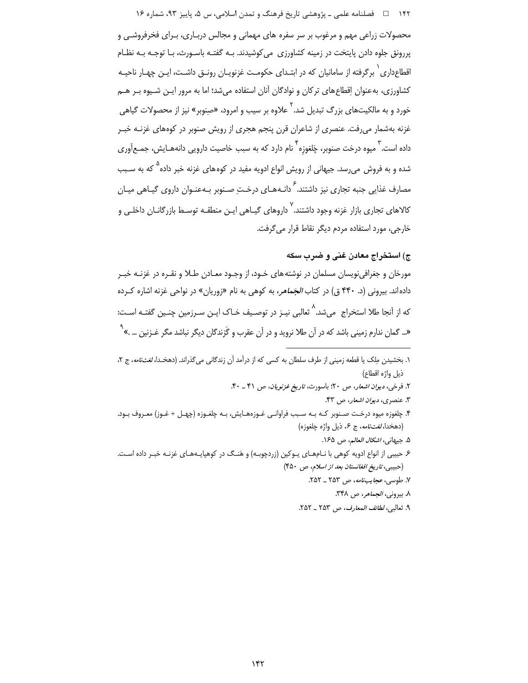۱۴۲ فصلنامه علمي ـ پژوهشي تاريخ فرهنگ و تمدن اسلامي، س ۵، پاييز ۹۳، شماره ۱۶

محصولات زراعی مهم و مرغوب بر سر سفره های مهمانی و مجالس دربـاری، بـرای فخرفروشـی و پررونق جلوه دادن پایتخت در زمینه کشاورزی می کوشیدند. بـه گفتـه باسـورث، بـا توجـه بـه نظـام اقطاع۱اری ٰ برگرفته از سامانیان که در ابتـدای حکومـت غزنویـان رونـق داشـت، ایـن چهـار ناحیـه کشاورزی، بهعنوان إقطاع های ترکان و نوادگان آنان استفاده می شد؛ اما به مرور ایـن شـیوه بـر هــم خورد و به مالکیتهای بزرگ تبدیل شد.<sup>۲</sup> علاوه بر سیب و امرود، «صنوبر» نیز از محصولات گیاهی .<br>غزنه بهشمار می٫فت. عنصری از شاعران قرن پنجم هجری از رویش صنوبر در کوههای غزنـه خبـر داده است. <sup>۳</sup> میوه درخت صنوبر، چَلغوزه <sup>۴</sup> نام دارد که به سبب خاصیت دارویی دانههـایش، جمـع آوری شده و به فروش میرسد. جیهانی از رویش انواع ادویه مفید در کوههای غزنه خبر داده<sup>۵</sup> که به سـبب مصارف غذایی جنبه تجاری نیز داشتند.<sup>۶</sup> دانـههـای درخـتِ صـنوبر بـهعنـوان داروی گیـاهی میـان کالاهای تجاری بازار غزنه وجود داشتند. <sup>۷</sup> داروهای گیـاهی ایـن منطقـه توسـط بازرگانــان داخلـی و خارجی، مورد استفاده مردم دیگر نقاط قرار می گرفت.

# ج) استخراج معادن غنی و ضرب سکه

مورخان و جغرافینویسان مسلمان در نوشتههای خـود، از وجـود معـادن طـلا و نقـره در غزنـه خبـر داده اند. بیرونی (د. ۴۴۰ ق) در کتاب *الجَماهر*، به کوهی به نام «زوریان» در نواحی غزنه اشاره کـرده که از آنجا طلا استخراج می شد.<sup>^</sup> ثعالبی نیـز در توصـیف خـاک ایـن سـرزمین چنـین گفتـه اسـت: «... گمان ندارم زمینی باشد که در آن طلا نروید و در آن عقرب و گَزندگان دیگر نباشد مگر غـزنین ... .»<sup>۹</sup>

- ٣. عنصري، ديوان اشعار، ص ۴٣.
- ۴. چلغوزه میوه درخت صـنوبر کـه بـه سـبب فراوانـی غـوزههـایش، بـه چلغـوزه (چهـل + غـوز) معـروف بـود. (دهخدا، *لغت نامه*، ج ۶، ذيل واژه چلغوزه)
	- ۵. جيهاني، *اشكال العالم*، ص ۱۶۵.
- ۶ حبیبی از انواع ادویه کوهی با نـامهـای یـوکین (زردچوبـه) و هَنـگ در کوهپایـههـای غزنـه خبـر داده اسـت. (حبيبي، تاريخ افغانستان بعد از اسلام، ص ۴۵۰)
	- ۷. طوسی، *عجایبنامه*، ص ۲۵۳ ـ ۲۵۲.
		- ٨. بيروني، *الجماهر*، ص ٣۴٨.
	- ٩. ثعالبي، لطائف المعارف، ص ٢٥٣ \_ ٢٥٢.

۱. بخشیدن مِلک یا قطعه زمینی از طرف سلطان به کسی که از درآمد آن زندگانی میگذراند. (دهخـدا، *لغتنامه*، ج ۲، ذيل واژه اقطاع)

٢. فرخي، ديوان اشعار، ص ٢٠؛ باسورث، تاريخ غزنويان، ص ۴١ \_ ۴٠.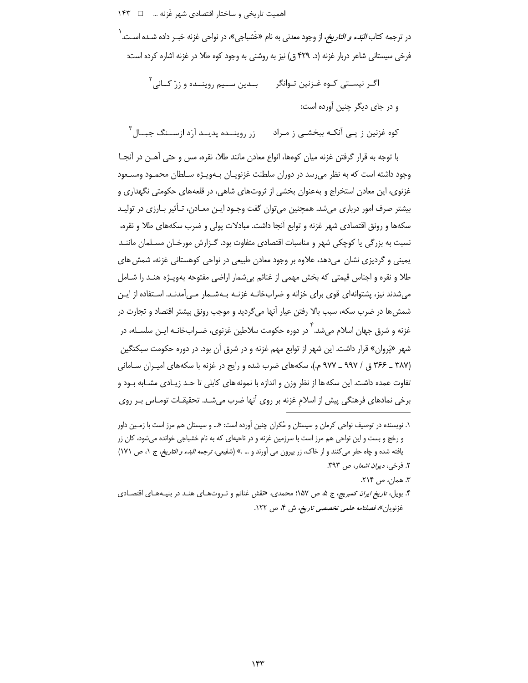اهمیت تاریخی و ساختار اقتصادی شهر غَزنه ... □ ١۴٣

در ترجمه کتاب *البَدء و التاريخ،* از وجود معدن<sub>ي</sub> به نام «خَشباج<sub>، »</sub>، در نواح<sub>،</sub> غزنه خبـ, داده شـده اسـت. <sup>\</sup> فرخی سیستانی شاعر دربار غزنه (د. ۴۲۹ ق) نیز به روشنی به وجود کوه طلا در غزنه اشاره کرده است:

بـدین ســیم روینــده و زرّ کــانے ، ۲ اگــر نيســتي كــوه غــزنين تــوانگر و در جای دیگر چنین آورده است:

زر روینــده پدیــد آرَد ازســنگ جبــال آ کوه غزنین ز پـی آنکـه ببخشـی ز مـراد

با توجه به قرار گرفتن غزنه میان کوهها، انواع معادن مانند طلا، نقره، مس و حتی آهـن در آنجـا وجود داشته است که به نظر میرسد در دوران سلطنت غزنویـان بـهویـژه سـلطان محمـود ومسـعود غزنوی، این معادن استخراج و بهعنوان بخشی از ثروتهای شاهی، در قلعههای حکومتی نگهداری و بیشتر صرف امور درباری می شد. همچنین می توان گفت وجـود ایـن معـادن، تـأثیر بـارزی در تولیـد سکهها و رونق اقتصادی شهر غزنه و توابع آنجا داشت. مبادلات پولی و ضرب سکههای طلا و نقره، نسبت به بزرگی یا کوچکی شهر و مناسبات اقتصادی متفاوت بود. گـزارش مورخـان مسـلمان ماننـد یمینی و گردیزی نشان میدهد، علاوه بر وجود معادن طبیعی در نواحی کوهستانی غزنه، شمش های طلا و نقره و اجناس قیمتی که بخش مهمی از غنائم بی شمار اراضی مفتوحه بهویـژه هنـد را شـامل میشدند نیز، پشتوانهای قوی برای خزانه و ضرابخانـه غزنـه بـهشـمار مـیآمدنـد. اسـتفاده از ایـن شمش ها در ضرب سکه، سبب بالا رفتن عیار آنها می¢ددید و موجب رونق بیشتر اقتصاد و تجارت در غزنه و شرق جهان اسلام میشد.<sup>۲</sup> در دوره حکومت سلاطین غزنوی، ضـرابخانـه ایـن سلسـله، در شهر «پَروان» قرار داشت. این شهر از توابع مهم غزنه و در شرق آن بود. در دوره حکومت سبکتگین (۳۸۷ \_ ۳۶۶ ق / ۹۹۷ \_ ۹۷۷ م.)، سكههای ضرب شده و رایج در غزنه با سكههای امپیران سیامانی تفاوت عمده داشت. این سکه ها از نظر وزن و اندازه با نمونه های کابلی تا حـد زیـادی مشـابه بـود و برخی نمادهای فرهنگی پیش از اسلام غزنه بر روی آنها ضرب می شـد. تحقیقـات تومـاس بـر روی

٢. فرخي، ديوان اشعار، ص ٣٩٣.

۳. همان، ص ۲۱۴.

۱. نویسنده در توصیف نواحی کرمان و سیستان و مُکران چنین آورده است: «… و سیستان هم مرز است با زمـین داور و رخج و بست و این نواحی هم مرز است با سرزمین غزنه و در ناحیهای که به نام خشباجی خوانده میشود، کان زر يافته شده و چاه حفر مي كنند و از خاك، زر بيرون مي آورند و … .» (شفيعي، *ترجمه البدء و التاريخ، ج ١، ص* ١٧١)

۴. بویل، *تاریخ ایران کمبریج،* ج ۵، ص ۱۵۷؛ محمدی، «نقش غنائم و ثـروتهـای هنـد در بنیـههـای اقتصـادی غزنويان»، *فصلنامه علمي تخصصي تاريخ*، ش ۴، ص ۱۲۲.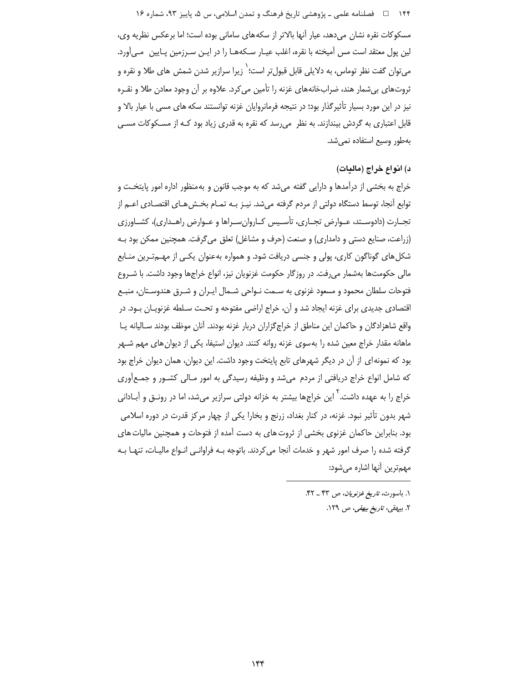۱۴۴ فصلنامه علمي ـ پژوهشي تاريخ فرهنگ و تمدن اسلامي، س ۵، پاييز ۹۳، شماره ۱۶

مسکوکات نقره نشان میدهد، عیار آنها بالاتر از سکههای سامانی بوده است؛ اما برعکس نظریه وی، لین پول معتقد است مس آمیخته با نقره، اغلب عیـار سـکههـا را در ایـن سـرزمین پـایین مـی آورد. می¤وان گفت نظر توماس، به دلایلی قابل قبولتر است؛ <sup>٬</sup> زیرا سرازیر شدن شمش های طلا و نقره و ثروتهای بیشمار هند، ضرابخانههای غزنه را تأمین می کرد. علاوه بر آن وجود معادن طلا و نقـره نیز در این مورد بسیار تأثیرگذار بود؛ در نتیجه فرمانروایان غزنه توانستند سکه های مسی با عیار بالا و قابل اعتباری به گردش بیندازند. به نظر می رسد که نقره به قدری زیاد بود کـه از مسـکوکات مسـی بهطور وسيع استفاده نمى شد.

# د) انواع خراج (ماليات)

خراج به بخشی از درآمدها و دارایی گفته میشد که به موجب قانون و بهمنظور اداره امور پایتخـت و توابع أنجا، توسط دستگاه دولتی از مردم گرفته می شد. نیـز بـه تمـام بخـش هـای اقتصـادی اعـم از تجــارت (دادوســتد، عــوارض تجــاري، تأســيس كــاروان٬سـراها و عــوارض راهــداري)، كشــاورزي (زراعت، صنایع دستی و دامداری) و صنعت (حرف و مشاغل) تعلق می گرفت. همچنین ممکن بود بـه شکل های گوناگون کاری، پولی و جنسی دریافت شود. و همواره بهعنوان یکبی از مهـمتـرین منـابع مالی حکومتها بهشمار می رفت. در روزگار حکومت غزنویان نیز، انواع خراجها وجود داشت. با شـروع فتوحات سلطان محمود و مسعود غزنوی به سـمت نـواحی شـمال ایـران و شـرق هندوسـتان، منبـع اقتصادی جدیدی برای غزنه ایجاد شد و آن، خراج اراضی مفتوحه و تحت سـلطه غزنویـان بـود. در واقع شاهزادگان و حاکمان این مناطق از خراجگزاران دربار غزنه بودند. آنان موظف بودند سـالیانه یـا ماهانه مقدار خراج معین شده را به سوی غزنه روانه کنند. دیوان استیفا، یکی از دیوان های مهم شـهر بود که نمونه ای از آن در دیگر شهرهای تابع پایتخت وجود داشت. این دیوان، همان دیوان خراج بود که شامل انواع خراج دریافتی از مردم میشد و وظیفه رسیدگی به امور مـالی کشــور و جمــع|َوری خراج را به عهده داشت.<sup>۲</sup> این خراجها بیشتر به خزانه دولتی سرازیر میشد، اما در رونـق و آبــادانی شهر بدون تأثیر نبود. غزنه، در کنار بغداد، زرنج و بخارا یکی از چهار مرکز قدرت در دوره اسلامی بود. بنابراین حاکمان غزنوی بخشی از ثروت های به دست آمده از فتوحات و همچنین مالیات های گرفته شده را صرف امور شهر و خدمات آنجا می کردند. باتوجه بـه فراوانـی انـواع مالیـات، تنهـا بـه مهمترين آنها اشاره مي شود:

١. باسورث، تاريخ غزنويان، ص ۴٣ ـ ۴٢. ۲. بیهقی، *تاریخ بیهقی، ص ۱*۲۹.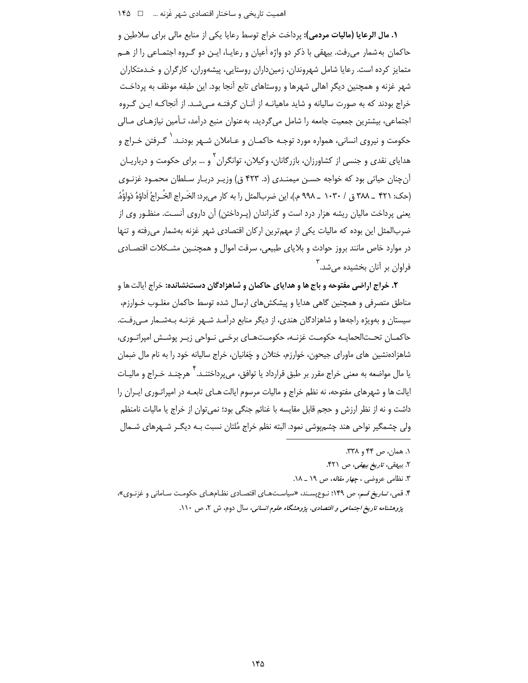**١. مال الرعايا (ماليات مردمي):** يرداخت خراج توسط رعايا يكي از منابع مالي براي سلاطين و حاکمان بهشمار میرفت. بیهقی با ذکر دو واژه اَعیان و رعایـا، ایـن دو گـروه اجتمـاعی را از هـم متمایز کرده است. رعایا شامل شهروندان، زمین داران روستایی، پیشهوران، کارگران و خـدمتکاران شهر غزنه و همچنین دیگر اهالی شهرها و روستاهای تابع آنجا بود. این طبقه موظف به پرداخـت خراج بودند که به صورت سالیانه و شاید ماهیانـه از آنـان گرفتـه مـیشـد. از آنجاکـه ایـن گـروه اجتماعی، بیشترین جمعیت جامعه را شامل می¢ددید، بهعنوان منبع درآمد، تـأمین نیازهـای مـالی حکومت و نیروی انسانی، همواره مورد توجـه حاکمـان و عـاملان شـهر بودنـد.<sup>\</sup> گـرفتن خـراج و هدایای نقدی و جنسی از کشاورزان، بازرگانان، وکیلان، توانگران ٔ و … برای حکومت و درباریــان آن چنان حیاتی بود که خواجه حسـن میمنـدی (د. ۴۲۳ ق) وزیـر دربـار سـلطان محمـود غزنـوی (حک: ۴۲۱ \_ ۳۸۸ ق / ۱۰۳۰ \_ ۹۹۸ م.)، اين ضربالمثل را به کار مے برد: الخَـراج الخُـراجُ اَداوُهُ دَواؤُهُ. یعنی پرداخت مالیان ریشه هزار درد است و گذراندان (پـرداختن) آن داروی آنسـت. منظـور وی از ضربالمثل این بوده که مالیات یکی از مهمترین ارکان اقتصادی شهر غزنه بهشمار می رفته و تنها در موارد خاص مانند بروز حوادث و بلایای طبیعی، سرقت اموال و همچنـین مشـکلات اقتصـادی ۔<br>فراوان بر آنان بخشیدہ مے شد.

۲. خراج اراضی مفتوحه و باج ها و هدایای حاکمان و شاهزادگان دستنشانده: خراج ایالت ها و مناطق متصرفی و همچنین گاهی هدایا و پیشکش های ارسال شده توسط حاکمان مغلـوب خـوارزم، سیستان و بهویژه راجهها و شاهزادگان هندی، از دیگر منابع درآمـد شـهر غزنـه بـهشـمار مـی رفـت. حاکمـان تحــتالحمايــه حکومــت غزنــه، حکومــتهـاى برخــى نــواحى زيـر پوشــش اميراتــورى، شاهزادهنشین های ماورای جیحون، خوارزم، ختلان و چَغانیان، خراج سالیانه خود را به نام مال ضمان یا مال مواضعه به معنی خراج مقرر بر طبق قرارداد یا توافق، میپرداختنـد.<sup>۴</sup> هرچنـد خـراج و مالیـات ایالت ها و شهرهای مفتوحه، نه نظم خراج و مالیات مرسوم ایالت هـای تابعـه در امپراتـوری ایـران را داشت و نه از نظر ارزش و حجم قابل مقايسه با غنائم جنگي بود؛ نمي توان از خراج يا ماليات نامنظم ولي چشمگير نواحي هند چشمپوشي نمود. البته نظم خراج مُلتان نسبت بـه ديگـر شـهرهاي شـمال

۲. بیهقی، *تاریخ بیهقی*، ص ۴۲۱.

۴. قمی، *تـاریخ قـم، ص* ۱۴۹؛ نـوع پسـند، «سیاسـتهـای اقتصـادی نظـامهـای حکومـت سـامانی و غزنـوی»، پژوهشنامه تاریخ اجتماعی و اقتصادی، پژوهشگاه علوم انسانی، سال دوم، ش ۲، ص ۱۱۰.

١. همان، ص ۴۴ و ٣٣٨.

۳. نظامی عروضی ، *چهار مقاله*، ص ۱۹ \_ ۱۸.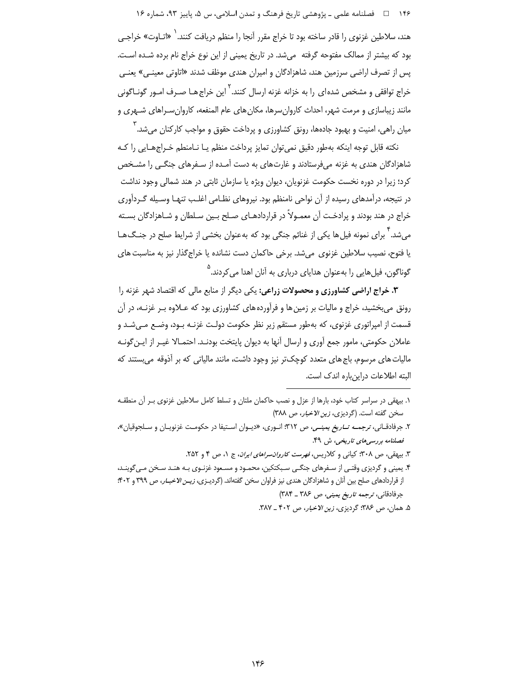۱۴۶ فصلنامه علمي ـ پژوهشي تاريخ فرهنگ و تمدن اسلامي، س ۵، پاييز ۹۳، شماره ۱۶

هند، سلاطین غزنوی را قادر ساخته بود تا خراج مقرر آنجا را منظم دریافت کنند.<sup>\</sup> «اتـاوت» خراجـی بود که بیشتر از ممالک مفتوحه گرفته (می شد. در تاریخ یمینی از این نوع خراج نام برده شـده اسـت. پس از تصرف اراضی سرزمین هند، شاهزادگان و امیران هندی موظف شدند «اتاوتی معینـی» یعنـی خراج توافقی و مشخص شدهای را به خزانه غزنه ارسال کنند. <sup>٬</sup> این خراج هـا صـرف امـور گونـاگونی مانند زیباسازی و مرمت شهر، احداث کاروانسرها، مکان های عام المنفعه، کاروانسـراهای شـهری و میان راهی، امنیت و بهبود جادهها، رونق کشاورزی و پرداخت حقوق و مواجب کارکنان میشد. <sup>۲</sup>

نكته قابل توجه اينكه بهطور دقيق نمى توان تمايز يرداخت منظم يـا نـامنطم خـراجهـايي را كـه شاهزادگان هندی به غزنه میفرستادند و غارتهای به دست آمـده از سـفرهای جنگـی را مشـخص کرد؛ زیرا در دوره نخست حکومت غزنویان، دیوان ویژه یا سازمان ثابتی در هند شمالی وجود نداشت در نتیجه، درآمدهای رسیده از آن نواحی نامنظم بود. نیروهای نظـامی اغلـب تنهـا وسـیله گـردآوری خراج در هند بودند و پرادخت آن معمـولاً در قراردادهـای صـلح بـین سـلطان و شـاهزادگان بسـته می شد. ۳ برای نمونه فیل ها یکی از غنائم جنگی بود که بهعنوان بخشی از شرایط صلح در جنـگ۱هـا یا فتوح، نصیب سلاطین غزنوی می شد. برخی حاکمان دست نشانده یا خراج گذار نیز به مناسبت های گوناگون، فیل هایی را بهعنوان هدایای درباری به آنان اهدا می کردند.<sup>۵</sup>

٣. خراج اراضی کشاورزی و محصولات زراعی: یکی دیگر از منابع مالی که اقتصاد شهر غزنه را رونق میبخشید، خراج و مالیات بر زمین ها و فرآورده های کشاورزی بود که عـلاوه بـر غزنـه، در آن قسمت از امپراتوري غزنوي، كه بهطور مستقم زير نظر حكومت دولت غزنـه بـود، وضـع مـي شـد و عاملان حکومتی، مامور جمع آوری و ارسال آنها به دیوان پایتخت بودنـد. احتمـالا غیـر از ایـن گونـه مالیات های مرسوم، باج های متعدد کوچک تر نیز وجود داشت، مانند مالیاتی که بر آذوقه می بستند که البته اطلاعات دراینباره اندک است.

- ۲. جرفادقـاني، *ترجمـه تــاريغ يمينــي، ص ۳*۱۲؛ انـوري، «ديــوان اسـتيفا در حكومـت غزنويـان و سـلجوقيان»، فصلنامه بررسی مای تاریخی، ش ۴۹.
	- ۳. بیهقی، ص ۳۰۸؛ کیانی و کلاریس، *فهرست کاروان سراهای ایران*، ج ۰، ص ۴ و ۲۵۲.
- ۴. یمینی و گردیزی وقتی از سـفرهای جنگـی سـبکتکین، محمـود و مسـعود غزنـوی بـه هنـد سـخن مـی6وینـد، از قراردادهای صلح بین آنان و شاهزادگان هندی نیز فراوان سخن گفتهاند. (گردیـزی، *زیـن الاخبـار*، ص ۳۹۹ و ۴۰۲: جرفادقاني، ترجمه تاريخ يميني، ص ٣٨٤ ـ ٣٨۴)
	- ۵. همان، ص ۳۸۶؛ گردیزی، زین الاخبار، ص ۴۰۲ \_ ۳۸۷.

١. بيهقى در سراسر كتاب خود، بارها از عزل و نصب حاكمان ملتان و تسلط كامل سلاطين غزنوى بـر آن منطقـه سخن گفته است. (گردیزی، زین الاخبار، ص ٣٨٨)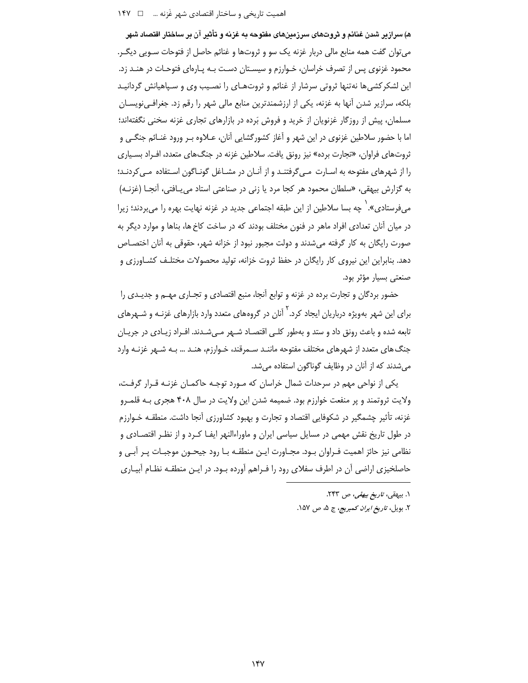ه) سراز بر شدن غنائم و ثروتهای سرزمینهای مغتوجه به غزیه و تأثیر آن بر ساختار اقتصاد شهر می توان گفت همه منابع مالی دربار غزنه یک سو و ثروتها و غنائم حاصل از فتوحات سـویی دیگـر. محمود غزنوی پس از تصرف خراسان، خـوارزم و سیسـتان دسـت بـه یـارهای فتوحـات در هنـد زد. این لشکرکشی ها نهتنها ثروتی سرشار از غنائم و ثروتهـای را نصـیب وی و سـیاهیانش گردانیـد بلکه، سرازیر شدن آنها به غزنه، یکی از ارزشمندترین منابع مالی شهر را رقم زد. جغرافـی;ویســان مسلمان، پیش از روزگار غزنویان از خرید و فروش بَرده در بازارهای تجاری غزنه سخنی نگفتهاند؛ اما با حضور سلاطین غزنوی در این شهر و آغاز کشورگشایی آنان، عــلاوه بـر ورود غنــائم جنگــی و ثروتهای فراوان، «تجارت برده» نیز رونق یافت. سلاطین غزنه در جنگهای متعدد، اف اد بسیاری را از شهرهای مفتوحه به اسـارت مـی گرفتنـد و از آنـان در مشـاغل گونـاگون اسـتفاده مـی کردنـد؛ به گزارش بیهقی، «سلطان محمود هر کجا مرد یا زنی در صناعتی استاد می بـافتی، أنجـا (غزنـه) میفرستادی». ٰ چه بسا سلاطین از این طبقه اجتماعی جدید در غزنه نهایت بهره را می بردند؛ زیرا در میان آنان تعدادی افراد ماهر در فنون مختلف بودند که در ساخت کاخ ها، بناها و موارد دیگر به صورت رایگان به کار گرفته می شدند و دولت مجبور نبود از خزانه شهر، حقوقی به آنان اختصـاص دهد. بنابراین این نیروی کار رایگان در حفظ ثروت خزانه، تولید محصولات مختلـف کشـاورزی و صنعتی بسیار مؤثر بود.

حضور بردگان و تجارت برده در غزنه و توابع آنجا، منبع اقتصادی و تجـاری مهـم و جدیـدی را برای این شهر بهویژه درباریان ایجاد کرد. <sup>٬</sup> آنان در گروههای متعدد وارد بازارهای غزنـه و شـهرهای تابعه شده و باعث رونق داد و ستد و بهطور كلبي اقتصـاد شـهر مـيشـدند. افـراد زيـادي در جريـان جنگ های متعدد از شهرهای مختلف مفتوحه ماننـد سـمرقند، خـوارزم، هنـد … بـه شـهر غزنـه وارد می شدند که از آنان در وظایف گوناگون استفاده می شد.

یکی از نواحی مهم در سرحدات شمال خراسان که مـورد توجـه حاکمـان غزنـه قـرار گرفـت، ولايت ثروتمند و پر منفعت خوارزم بود. ضميمه شدن اين ولايت در سال ۴۰۸ هجري بـه قلمـرو غزنه، تأثیر چشمگیر در شکوفایی اقتصاد و تجارت و بهبود کشاورزی آنجا داشت. منطقـه خـوارزم در طول تاریخ نقش مهمی در مسایل سیاسی ایران و ماوراءالنهر ایفـا کـرد و از نظـر اقتصــادی و نظامی نیز حائز اهمیت فـراوان بـود. مجـاورت ایـن منطقـه بـا رود جیحـون موجبـات پـر آبـی و حاصلخیزی اراضی آن در اطرف سفلای رود را فـراهم آورده بـود. در ایـن منطقـه نظـام آبیـاری

> ۱. بیهقی، *تاریخ بیهقی*، ص ۲۴۳. ٢. بويل، *تاريخ ايران كمبريج*، ج ۵، ص ١۵٧.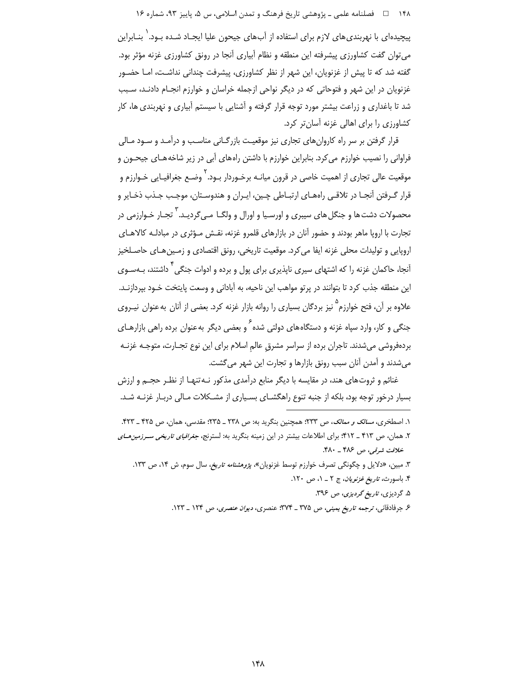۱۴۸٪ ه اسلنامه علمی ـ پژوهشی تاریخ فرهنگ و تمدن اسلامی، س ۵، پاییز ۹۳، شماره ۱۶

پیچیدهای با نهربندی های لازم برای استفاده از آب های جیحون علیا ایجـاد شـده بـود. ٰ بنـابراین می توان گفت کشاورزی پیشرفته این منطقه و نظام آبیاری آنجا در رونق کشاورزی غزنه مؤثر بود. گفته شد که تا پیش از غزنویان، این شهر از نظر کشاورزی، پیشرفت چندانی نداشت، امـا حضـور غزنویان در این شهر و فتوحاتی که در دیگر نواحی ازجمله خراسان و خوارزم انجـام دادنـد، سـبب شد تا باغداری و زراعت بیشتر مورد توجه قرار گرفته و آشنایی با سیستم آبیاری و نهربندی ها، کار کشاورزی را برای اهالی غزنه آسان تر کرد.

قرار گرفتن بر سر راه کاروان های تجاری نیز موقعیت بازرگـانی مناسـب و درآمـد و سـود مـالی فراوانی را نصیب خوارزم می کرد. بنابراین خوارزم با داشتن راههای آبی در زیر شاخههـای جیحـون و موقعیت عالی تجاری از اهمیت خاصی در قرون میانـه برخـوردار بـود.<sup>۲</sup> وضـع جغرافیـایی خـوارزم و قرار گـرفتن آنجـا در تلاقـي راههـاي ارتبـاطي چـين، ايـران و هندوسـتان، موجـب جـذب ذخـاير و محصولات دشت ها و جنگل های سیبری و اورسـیا و اورال و ولگــا مــی گردیــد. <sup>۳</sup> تجــار خـوارزمی در تجارت با اروپا ماهر بودند و حضور آنان در بازارهای قلمرو غزنه، نقش مـؤثری در مبادلـه کالاهـای اروپایی و تولیدات محلی غزنه ایفا می کرد. موقعیت تاریخی، رونق اقتصادی و زمـین هـای حاصـلخیز اَنجا، حاکمان غزنه را که اشتهای سیری ناپذیری برای پول و برده و ادوات جنگ<sub>،</sub> ` داشتند، بـهسـوی این منطقه جذب کرد تا بتوانند در پرتو مواهب این ناحیه، به آبادانی و وسعت پایتخت خـود بپردازنـد. علاوه بر آن، فتح خوارزم<sup>۵</sup> نیز بردگان بسیاری را روانه بازار غزنه کرد. بعضی از آنان به عنوان نیـروی جنگی و کار، وارد سپاه غزنه و دستگاههای دولتی شده <sup>۶</sup> و بعضی دیگر بهعنوان برده راهی بازارهـای بردهفروشی میشدند. تاجران برده از سراسر مشرق عالم اسلام برای این نوع تجـارت، متوجـه غزنـه میشدند و آمدن آنان سبب رونق بازارها و تجارت این شهر می گشت.

غنائم و ثروتهای هند، در مقایسه با دیگر منابع درآمدی مذکور نـه تنهـا از نظـر حجـم و ارزش بسیار درخور توجه بود، بلکه از جنبه تنوع راهگشـای بسـیاری از مشـکلات مـالی دربـار غزنـه شـد.

١. اصطخرى، مسالك و ممالك، ص ٢٣٣؛ همچنين بنگريد به: ص ٢٣٨ ـ ٢٣۵؛ مقدسى، همان، ص ٣٢٥ ـ ۴٢٣.

۲. همان، ص ۴۱۳ ـ ۴۱۲؛ برای اطلاعات بیشتر در این زمینه بنگرید به: لسترنج، *جغرافیای تاریخی سـرزمین هـای* خلافت شرقی، ص ۴۸۶ \_ ۴۸۰.

۳. مبین، «دلایل و چگونگی تصرف خوارزم توسط غزنویان»، *پژوهشنامه تاریخ*، سال سوم، ش ۱۴، ص ۱۳۳.

۴. باسورث، ت*اریخ غزنویان*، ج ۲ \_ ۱، ص ۱۲۰.

۵. گردیزی، ت*اریخ گردیزی*، ص ۳۹۶.

۶. جرفادقانی، ترجمه تاریخ یمینی، ص ۳۷۵ ـ ۳۷۴: عنصری، دیوان عنصری، ص ۱۲۴ ـ ۱۲۳.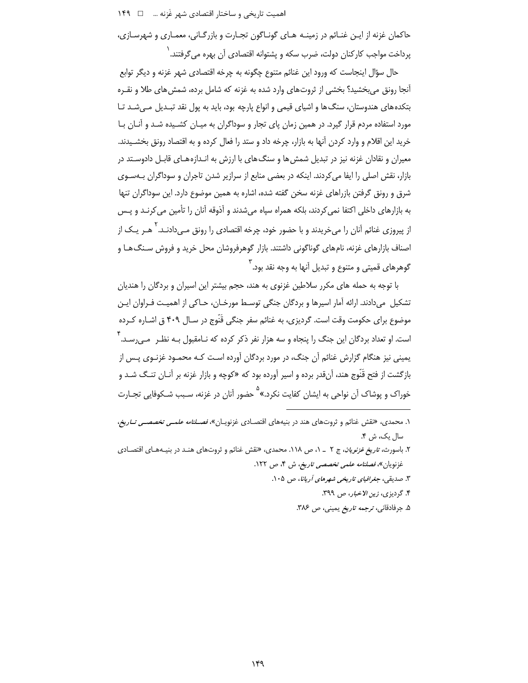اهمیت تاریخی و ساختار اقتصادی شهر غَزنه ... □ ١۴٩

حاکمان غزنه از ایـن غنـائم در زمینـه هـای گونـاگون تجـارت و بازرگـانی، معمـاری و شهرسـازی، ِيرداخت مواجب کارکنان دولت، ضرب سکه و پشتوانه اقتصادی آن بهره می *گ*رفتند. <sup>(</sup>

حال سؤال اینجاست که ورود این غنائم متنوع چگونه به چرخه اقتصادی شهر غزنه و دیگر توابع آنجا رونق میبخشید؟ بخشی از ثروتهای وارد شده به غزنه که شامل برده، شمش های طلا و نقـره بتکدههای هندوستان، سنگ ها و اشیای قیمی و انواع پارچه بود، باید به پول نقد تبـدیل مـی شـد تـا مورد استفاده مردم قرار گیرد. در همین زمان پای تجار و سوداگران به میـان کشــیده شـد و آنــان بــا خرید این اقلام و وارد کردن آنها به بازار، چرخه داد و ستد را فعال کرده و به اقتصاد رونق بخشـیدند. معیران و نقادان غزنه نیز در تبدیل شمش ها و سنگ های با ارزش به انـدازههـای قابـل دادوسـتد در بازار، نقش اصلی را ایفا می کردند. اینکه در بعضی منابع از سرازیر شدن تاجران و سوداگران بـهسـوی شرق و رونق گرفتن بازراهای غزنه سخن گفته شده، اشاره به همین موضوع دارد. این سوداگران تنها به بازارهای داخلی اکتفا نمی کردند، بلکه همراه سیاه میشدند و آذوقه آنان را تأمین می کرنـد و پـس از پیروزی غنائم آنان را میخریدند و با حضور خود، چرخه اقتصادی را رونق مــ<sub>،</sub>دادنـد. <sup>۲</sup> هـر یـک از اصناف بازارهای غزنه، نامهای گوناگونی داشتند. بازار گوهرفروشان محل خرید و فروش سـنگ۱هـا و گوهرهای قمیتی و متنوع و تبدیل آنها به وجه نقد بود.<sup>۳</sup>

با توجه به حمله های مکرر سلاطین غزنوی به هند، حجم بیشتر این اسپران و بردگان را هندیان تشکیل میدادند. ارائه آمار اسپرها و بردگان جنگی توسـط مورخـان، حـاکی از اهمیـت فـراوان ایـن موضوع برای حکومت وقت است. گردیزی، به غنائم سفر جنگی قَنّوج در سـال ۴۰۹ ق اشـاره کـرده است. او تعداد بردگان این جنگ را پنجاه و سه هزار نفر ذکر کرده که نـامقبول بـه نظـر مـې رسـد. <sup>۴</sup> یمینی نیز هنگام گزارش غنائم آن جنگ، در مورد بردگان آورده است کـه محمـود غزنـوی پـس از بازگشت از فتح قَنَّوج هند، آنقدر برده و اسير آورده بود كه «كوچه و بازار غزنه بر آنــان تنــگ شــد و خوراک و پوشاک آن نواحی به ایشان کفایت نکرد.»<sup>۵</sup> حضور آنان در غزنه، سـبب شـکوفایی تجـارت

۱. محمدی، «نقش غنائم و ثروتهای هند در بنیههای اقتصـادی غزنویـان»، *فصـلنامه علمـی تخصصـی تـاریخ،* سال یک، ش ۴.

۲. باسورث، *تاریخ غزنویان*، ج ۲ \_ ۱، ص ۱۱۸. محمدی، «نقش غنائم و ثروتهای هنـد در بنیـههـای اقتصـادی غزنویان»، *فصلنامه علمی تخصصی تاریخ*، ش ۴، ص ۱۲۲.

۳. صدیقی، *جغرافیای تاریخی شهرهای آریانا*، ص ۱۰۵.

۴. گردیزی، زین الاخبار، ص ۳۹۹.

۵. جرفادقانی، ترجمه تاریخ یمینی، ص ۳۸۶.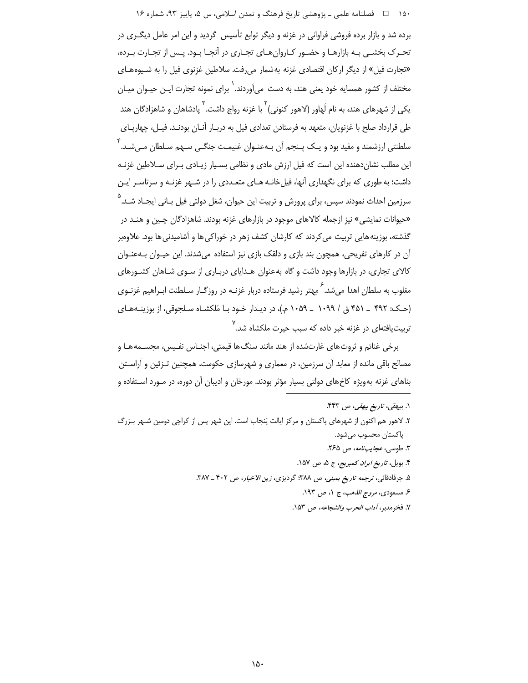۱۵۰ هـ المسلسلمه علمي ــ پژوهشي تاريخ فرهنگ و تمدن اسلامي، س ۵، پاييز ۹۳، شماره ۱۶

برده شد و بازار برده فروشی فراوانی در غزنه و دیگر توابع تأسیس گردید و این امر عامل دیگـری در تحـرک بخشـی بـه بازارهـا و حضـور کـاروانِهـای تجـاری در آنجـا بـود. پـس از تجـارت بـرده، «تجارت فیل» از دیگر ارکان اقتصادی غزنه بهشمار می رفت. سلاطین غزنوی فیل را به شـیوههـای مختلف از کشور همسایه خود یعنی هند، به دست می]وردند. <sup>\</sup> برای نمونه تجارت ایـن حیـوان میـان یکی از شهرهای هند، به نام لَهاور (لاهور کنونی) <sup>۲</sup> با غزنه رواج داشت. <sup>۳</sup> پادشاهان و شاهزادگان هند طی قرارداد صلح با غزنویان، متعهد به فرستادن تعدادی فیل به دربـار آنــان بودنــد. فیــل، چهارپــای سلطنتي ارزشمند و مفيد بود و يـک پــنجم آن بــهعنــوان غنيمـت جنگــي ســهم ســلطان مــيشــد. ٔ این مطلب نشان دهنده این است که فیل ارزش مادی و نظامی بسـیار زیـادی بـرای سـلاطین غزنـه داشت؛ به طوری که برای نگهداری آنها، فیل خانـه هـای مت*ع*ـددی را در شـهر غزنـه و سرتاسـر ایـن سرزمین احداث نمودند سپس، برای پرورش و تربیت این حیوان، شغل دولتی فیل بـانی ایجـاد شــد.<sup>2</sup> «حیوانات نمایشی» نیز ازجمله کالاهای موجود در بازارهای غزنه بودند. شاهزادگان چـین و هنــد در گذشته، بوزینه هایی تربیت می کردند که کارشان کشف زهر در خوراکی ها و آشامیدنی ها بود. علاوهبر آن در کارهای تفریحی، همچون بند بازی و دلقک بازی نیز استفاده میشدند. این حیـوان بـهعنـوان .<br>کالای تجاری، در بازارها وجود داشت و گاه به عنوان هـدایای دربـاری از سـوی شـاهان کشـورهای مغلوب به سلطان اهدا می شد. <sup>۶</sup> مهتر رشید فرستاده دربار غزنــه در روزگــار ســلطنت ابــراهیم غزنــوی (حـک: ۴۹۲ \_ ۴۵۱ ق / ۱۰۹۹ \_ ۱۰۵۹ م.)، در دیـدار خـود بـا مَلکشـاه سـلجوقي، از بوزینـههـای تربیتیافتهای در غزنه خبر داده که سبب حیرت ملکشاه شد.<sup>۷</sup>

برخي غنائم و ثروتهاي غارتشده از هند مانند سنگ ها قيمتي، اجنـاس نفـيس، مجسـمههـا و مصالح باقی مانده از معابد آن سرزمین، در معماری و شهرسازی حکومت، همچنین تـزئین و آراسـتن بناهای غزنه بهویژه کاخهای دولتی بسیار مؤثر بودند. مورخان و ادیبان آن دوره، در مـورد اسـتفاده و

- ۱. بيهقى*، تاريخ بيهقى، ص* ۴۴۳.
- ۲. لاهور هم اکنون از شهرهای پاکستان و مرکز ایالت پَنجاب است. این شهر پس از کراچی دومین شـهر بـزرگ ياكستان محسوب مي شود.
	- ٣. طوسی، *عجایبنامه*، ص ٢۶۵.
	- ۴. بویل، *تاریخ ایران کمبریج*، ج ۵، ص ۱۵۷.
	- ۵. جرفادقانی، ترجمه ت*اریخ یمینی، ص ۳۸۸*؛ گردیزی، *زین الاخبار*، ص ۴۰۲ \_ ۳۸۷.
		- ۶. مسعودي، *مروج الذهب*، ج ١، ص ١٩٣.
		- ٧. فخر مدبر ، *آداب الحرب والشجاعه*، ص ١۵٣.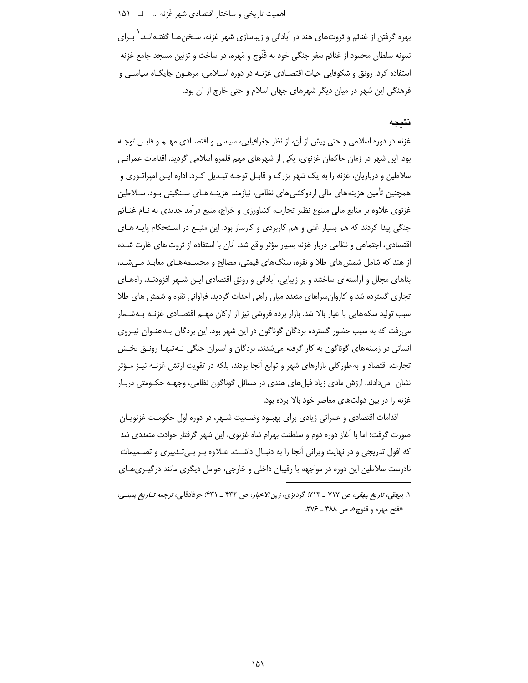## اهميت تاريخي و ساختار اقتصادي شهر غَزنه ... □ 1۵۱

بهره گرفتن از غنائم و ثروتهای هند در آبادانی و زیباسازی شهر غزنه، سـخنِ هـا گفتـهانـد. ٰ بـرای نمونه سلطان محمود از غنائم سفر جنگی خود به قُنُوج و مَهره، در ساخت و تزئین مسجد جامع غزنه استفاده کرد. رونق و شکوفایی حیات اقتصـادی غزنـه در دوره اسـلامی، مرهـون جایگـاه سیاسـی و فرهنگی این شهر در میان دیگر شهرهای جهان اسلام و حتی خارج از آن بود.

### نتىحە

غزنه در دوره اسلامی و حتی پیش از آن، از نظر جغرافیایی، سیاسی و اقتصـادی مهــم و قابــل توجـه بود. این شهر در زمان حاکمان غزنوی، یکی از شهرهای مهم قلمرو اسلامی گردید. اقدامات عمرانـی سلاطین و درباریان، غزنه را به یک شهر بزرگ و قابـل توجـه تبـدیل کـرد. اداره ایـن امپراتـوری و همچنین تأمین هزینههای مالی اردوکشی های نظامی، نیازمند هزینـههـای سـنگینی پـود. سـلاطین غزنوی علاوه بر منابع مالی متنوع نظیر تجارت، کشاورزی و خراج، منبع درآمد جدیدی به نـام غنــائم جنگی پیدا کردند که هم بسیار غنی و هم کاربردی و کارساز بود. این منبـع در اسـتحکام پایـه هـای اقتصادی، اجتماعی و نظامی دربار غزنه بسیار مؤثر واقع شد. آنان با استفاده از ثروت های غارت شـده از هند که شامل شمش های طلا و نقره، سنگ های قیمتی، مصالح و مجســمه هـای معابـد مـی شـد، بناهای مجلل و آراستهای ساختند و بر زیبایی، آبادانی و رونق اقتصادی ایـن شـهر افزودنـد. راههـای تجاری گسترده شد و کاروان سراهای متعدد میان راهی احداث گردید. فراوانی نقره و شمش های طلا سبب تولید سکههایی با عیار بالا شد. بازار برده فروشی نیز از ارکان مهـم اقتصـادی غزنـه بـهشـمار می رفت که به سبب حضور گسترده بردگان گوناگون در این شهر بود. این بردگان بـهعنـوان نیـروی انسانی در زمینه های گوناگون به کار گرفته میشدند. بردگان و اسپران جنگی نـهتنهـا رونــق بخـش تجارت، اقتصاد و به طور کلی بازارهای شهر و توابع آنجا بودند، بلکه در تقویت ارتش غزنـه نیـز مـؤثر نشان ِ میدادند. ارزش مادی زیاد فیلهای هندی در مسائل گوناگون نظامی، وجهـه حکـومتی دربـار غزنه را در بین دولتهای معاصر خود بالا برده بود.

اقدامات اقتصادی و عمرانی زیادی برای بهبود وضعیت شـهر، در دوره اول حکومـت غزنویـان صورت گرفت؛ اما با آغاز دوره دوم و سلطنت بهرام شاه غزنوی، این شهر گرفتار حوادث متعددی شد که افول تدریجی و در نهایت ویرانی آنجا را به دنبـال داشـت. عــلاوه بـر بـیتـدبیری و تصــمیمات نادرست سلاطین این دوره در مواجهه با رقیبان داخلی و خارجی، عوامل دیگری مانند درگیـریهـای

١. بيهقي، تاريخ بيهقي، ص ٧١٧ \_ ٧١٣؛ گرديزي، زين الاخبار، ص ۴٣٢ \_ ۴٣١؛ جرفادقاني، ترجمه تــاريخ يمينــي، «فتح مهره و قنوچ»، ص ۳۸۸ \_ ۳۷۶.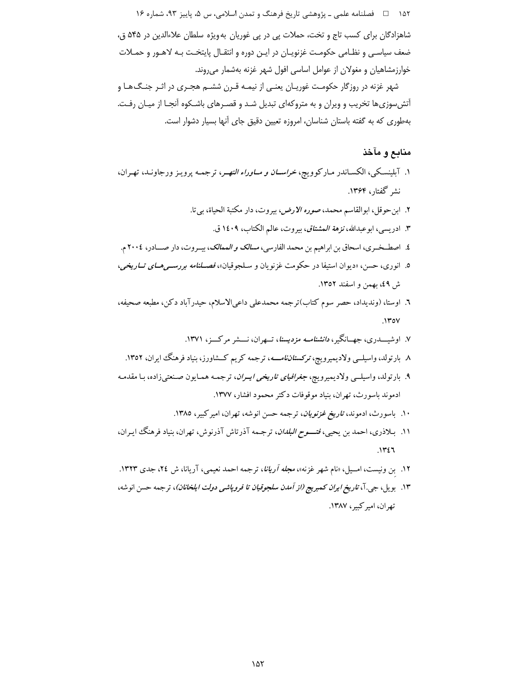۱۵۲ هـ المسلم علمي ـ پژوهشي تاريخ فرهنگ و تمدن اسلامي، س ۵، پاييز ۹۳، شماره ۱۶

شاهزادگان برای کسب تاج و تخت، حملات پی در پی غوریان به ویژه سلطان علاءالدین در ۵۴۵ ق، ضعف سیاسبی و نظـامی حکومـت غزنویـان در ایـن دوره و انتقـال پایتخـت بـه لاهـور و حمـلات خوارزمشاهیان و مغولان از عوامل اساسی افول شهر غزنه بهشمار می روند.

شهر غزنه در روزگار حکومت غوریـان یعنـی از نیمـه قـرن ششـم هجـری در اثـر جنـگ۱هـا و أتش سوزي ها تخريب و ويران و به متروكهاي تبديل شـد و قصـرهاي باشـكوه أنجـا از ميـان رفـت. بهطوری که به گفته باستان شناسان، امروزه تعیین دقیق جای آنها بسیار دشوار است.

## منابع و مآخذ

- ۱. آبلینسکی، الکسـاندر مـارکوویچ، *خراســان و مــاوراء النهـر*، ترجمـه پرویـز ورجاونـد، تهـران، نشر گفتار، ۱۳۶۴.
	- ٢. ابن حوقل، ابوالقاسم محمد، ص*وره الارض،* بيروت، دار مكتبة الحياة، بي¤. ۳. ادريسي، ابوعبدالله، *نزهة المشتاق،* بيروت، عالم الكتاب، ۱٤۰۹ ق.
- ٤. اصطـخـري، اسحاق بن ابراهيم بن محمد الفارسي، *مسالك و الممالك*، يسروت، دار صــادر، ٢٠٠٤ م.
- ٥. انوري، حسن، «ديوان استيفا در حكومت غزنويان و سـلجوقيان»، *فصـلنامه بررسـمي هـاي تـاريخي*، ش ٤٩، بهمن و اسفند ١٣٥٢.
- ٦. اوستا، (ونديداد، حصر سوم كتاب)ترجمه محمدعلى داعىالاسلام، حيدرآباد دكن، مطبعه صحيفه،  $.1$ ۳٥٧
	- ۷. اوشیســدری، جهــانگیر، *دانشنامــه مزدیسنا*، تــهران، نـــشر مرکـــز، ۱۳۷۱.
	- ۸ بارتولد، واسیلــی ولادیمیرویچ، *ترکستاننامــــه*، ترجمه کریم کــشاورز، بنیاد فرهنگ ایران، ۱۳۵۲.
- ۹. بارتولد، واسیلــی ولادیمیرویچ، *جغرافیای تاریخی ایــران*، ترجمـه همـایون صـنعتیزاده، بـا مقدمـه ادموند باسورث، تهران، بنیاد موقوفات دکتر محمود افشار، ۱۳۷۷.
	- ۱۰. باسورث، ادموند، *تاریخ غزنویان*، ترجمه حسن انوشه، تهران، امیرکبیر، ۱۳۸۵.
- ۱۱. بـلاذری، احمد بن يحيي، *فتــــوح البلدان*، ترجـمه آذرتاش آذرنوش، تهران، بنياد فرهنگ ايـران،  $.1151$
- ۱۲. بن ونیست، امــیل، «نام شهر غزنه»، *مجله آریانا*، ترجمه احمد نعیمی، آریانا، ش ۲۶، جدی ۱۳۲۳.
- ۱۳. بويل، جي.آ، *تاريخ ايران كمبريج (از آمدن سلجوقيان تا فروپاشي دولت ايلخانان)*، ترجمه حسن انوشه، تھران، امبر کسر، ۱۳۸۷.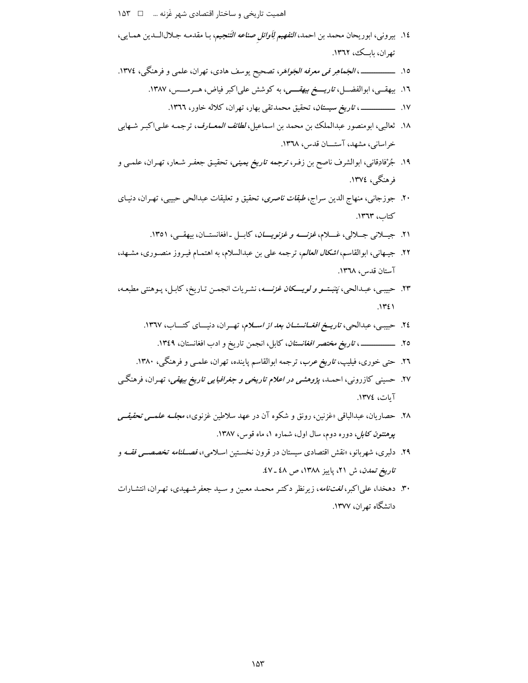اهميت تاريخي و ساختار اقتصادي شهر غَزنه ... □ ٦۵٣

- ١٤. بيروني، ابوريحان محمد بن احمد، *التفهيم لِأوائل صناعه التَنجيم*، بـا مقدمـه جـلالالـــدين همـايي، تھران، بابک، ١٣٦٢.
- - ۱٦. بیهقــی، ابوالفضــل، *تاریــــخ بیهقــــی*، به کوشش علیاکبر فیاض، هــرمـــس، ۱۳۸۷.
		-
- ۱۸. ثعالبی، ابومنصور عبدالملک بن محمد بن اسماعیل، *لطائف المعــارف*، ترجمـه علــىاكبـر شــهابى خراسانی، مشهد، آستــان قدس، ١٣٦٨.
- ۱۹. جُرْفادِقانی، ابوالشرف ناصح بن زفـر، *ترجمه تاریخ یمینی*، تحقیـق جعفـر شـعار، تهـران، علمــی و فرهنگی، ۱۳۷٤.
- ۲۰. جوزجانی، منهاج الدین سراج، *طبقات ناصری*، تحقیق و تعلیقات عبدالحی حبیبی، تهـران، دنیـای كتاب، ١٣٦٣.
	- ۲۱. جیسلانی جسلالی، غسلام، *غزنسه و غزنویسان*، کابسل -افغانستسان، بیهقسی، ۱۳۵۱.
- ٢٢. جيهاني، ابوالقاسم، *اشكال العالم*، ترجمه على بن عبدالسلام، به اهتمـام فيـروز منصـوري، مشـهد، آستان قدس، ١٣٦٨.
- ۲۳. حبیبی، عبـدالحی، *پَنَبـتــو و لویــــکان غزنــــ*ه، نشـریات انجمـن تـاریخ، کابـل، پـوهنتی مطبعـه،  $\sqrt{2}$ 
	- ۲٤. حبیبی، عبدالحی، *تاریــخ افغــانستــان بعد از اســلام*، تهــران، دنیـــای کتـــاب، ۱۳٦۷.
		-
	- ۲٦. حتی خوری، فیلیپ، *تاریخ عرب*، ترجمه ابوالقاسم پاینده، تهران، علمـی و فرهنگـی، ۱۳۸۰.
- ۲۷. حسینی کازرونی، احمـد، *پژوهشمی در اعلام تاریخی و جغرافیایی تاریخ بیهقی*، تهـران، فرهنگــی آيات، ١٣٧٤.
- ۲۸. حصاریان، عبدالباقی «غزنین، رونق و شکوه آن در عهد سلاطین غزنوی»، *مجلــه علمــی تحقیقــی* پ*وهنتون کابل، دوره دوم، سال اول، شماره ۱، ماه قوس، ۱۳۸۷.*
- ۲۹. دلبری، شهربانو، «نقش اقتصادی سیستان در قرون نخسـتین اسـلامی»، *فصـلنامه تخصصـی فقــه* و ت*اریخ تمدن*، ش ۲۱، پاییز ۱۳۸۸، ص ٤٨ ـ ٤٧.
- ۳۰. دهخدا، علیاکبر، *لغتنامه*، زیرنظر دکتـر محمـد معـین و سـید جعفرشـهیدی، تهـران، انتشـارات دانشگاه تهران، ۱۳۷۷.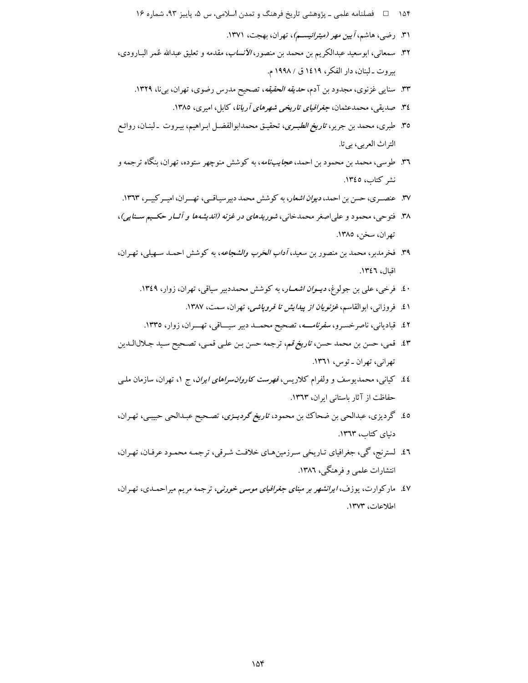- ۱۵۴ هـ استفعاده علمي ـ پژوهشي تاريخ فرهنگ و تمدن اسلامي، س ۵، پاييز ۹۳، شماره ۱۶
	- ۳۱. رضی، هاشم، *آیین مهر (میترائیسم)*، تهران، بهجت، ۱۳۷۱.
- ٣٢. سمعاني، ابوسعيد عبدالكريم بن محمد بن منصور، *الأنساب*، مقدمه و تعليق عبدالله عُمر البـارودي. بيروت \_ لبنان، دار الفكر، ١٤١٩ ق / ١٩٩٨ م.
	- ۳۳. سنایی غزنوی، مجدود بن آدم، *حدیقه الحقیقه*، تصحیح مدرس رضوی، تهران، بیiا، ۱۳۲۹.
		- ۳٤. صدیقی، محمدعثمان، جغر*افیای تاریخی شهرهای آریانا*، کابل، امیری، ۱۳۸۵.
- ٣٥. طبري، محمد بن جرير، ت*اريخ الطبـري*، تحقيـق محمدابوالفضـل ابـراهيم، بيـروت ـ لبنـان، روائـع التراث العربي، بي تا.
- ٣٦. طوسی، محمد بن محمود بن احمد، *عجایبنامه*، به کوشش منوچهر ستوده، تهران، بنگاه ترجمه و نشر كتاب، ١٣٤٥.
- ۳۷. عنصـري، حسن بن احمد، *ديوان اشعار*، به كوشش محمد دبيرسياقـي، تهــران، اميـر كبيـر، ۱۳٦۳.
- ۳۸. فتوحی، محمود و علیاصغر محمدخانی، *شوریدهای در غزنه (اندیشهها و آثــار حکــیم ســنایی)*، تهران، سخن، ١٣٨٥.
- ۳۹. فخرمدبر، محمد بن منصور بن سعید، *آداب الحَرب والشجاعه*، به کوشش احمـد سـهیلمی، تهـران، اقبال، ١٣٤٦.
	- ۰£. فرخی، علی بن جولوغ، *دیــوان اشعــار*، به کوشش محمددبیر سیاقی، تهران، زوار، ۱۳٤۹.
		- ٤١. فروزاني، ابوالقاسم، *غزنويان از پيدايش تا فروپاشي، تهر*ان، سمت، ١٣٨٧.
	- ٤٢. قبادیانی، ناصرخسرو، *سفرنامــــه*، تصحیح محمــد دبیر سیـــاقی، تهـــران، زوار، ١٣٣٥.
- ٤٣. قمي، حسن بن محمد حسن، ت*اريخ قم*، ترجمه حسن بـن علـي قمـي، تصـحيح سـيد جـلالالـدين تهراني، تهران ـ توس، ١٣٦١.
- £2. کیانی، محمدیوسف و ولفرام کلاریس، *فهرست کاروان سراهای ایران*، ج ۱، تهران، سازمان ملـی حفاظت از آثار باستانی ایران، ١٣٦٣.
- ۰.0 گردیزی، عبدالحی بن ضحاک بن محمود، *تاریخ گردیــزی*، تصـحیح عبـدالحی حبیبـی، تهـران، دنیای کتاب، ١٣٦٣.
- ٤٦. لسترنج، گي، جغرافياي تـاريخي سـرزمينهـاي خلافت شـرقي، ترجمـه محمـود عرفـان، تهـران، انتشارات علمی و فرهنگی، ۱۳۸٦.
- ٤٧. ماركوارت، يوزف، *ايرانشهر بر مبناى جغرافياى موسى خورنى*، ترجمه مريم ميراحمـدى، تهـران، اطلاعات، ١٣٧٣.